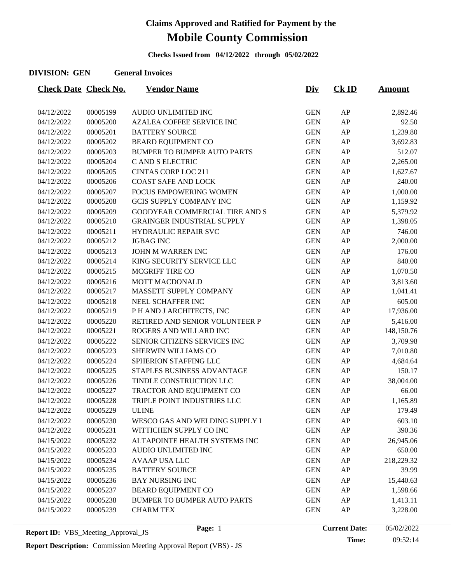**Checks Issued from 04/12/2022 through 05/02/2022**

#### **DIVISION: GEN General Invoices**

| <b>Check Date Check No.</b> |          | <b>Vendor Name</b>                 | <u>Div</u> | $CK$ ID    | <u>Amount</u> |
|-----------------------------|----------|------------------------------------|------------|------------|---------------|
|                             |          |                                    |            |            |               |
| 04/12/2022                  | 00005199 | AUDIO UNLIMITED INC                | <b>GEN</b> | ${\sf AP}$ | 2,892.46      |
| 04/12/2022                  | 00005200 | <b>AZALEA COFFEE SERVICE INC</b>   | <b>GEN</b> | AP         | 92.50         |
| 04/12/2022                  | 00005201 | <b>BATTERY SOURCE</b>              | <b>GEN</b> | AP         | 1,239.80      |
| 04/12/2022                  | 00005202 | <b>BEARD EQUIPMENT CO</b>          | <b>GEN</b> | AP         | 3,692.83      |
| 04/12/2022                  | 00005203 | <b>BUMPER TO BUMPER AUTO PARTS</b> | <b>GEN</b> | AP         | 512.07        |
| 04/12/2022                  | 00005204 | C AND S ELECTRIC                   | <b>GEN</b> | AP         | 2,265.00      |
| 04/12/2022                  | 00005205 | <b>CINTAS CORP LOC 211</b>         | <b>GEN</b> | AP         | 1,627.67      |
| 04/12/2022                  | 00005206 | <b>COAST SAFE AND LOCK</b>         | <b>GEN</b> | AP         | 240.00        |
| 04/12/2022                  | 00005207 | FOCUS EMPOWERING WOMEN             | <b>GEN</b> | AP         | 1,000.00      |
| 04/12/2022                  | 00005208 | GCIS SUPPLY COMPANY INC            | <b>GEN</b> | AP         | 1,159.92      |
| 04/12/2022                  | 00005209 | GOODYEAR COMMERCIAL TIRE AND S     | <b>GEN</b> | AP         | 5,379.92      |
| 04/12/2022                  | 00005210 | <b>GRAINGER INDUSTRIAL SUPPLY</b>  | <b>GEN</b> | AP         | 1,398.05      |
| 04/12/2022                  | 00005211 | HYDRAULIC REPAIR SVC               | <b>GEN</b> | AP         | 746.00        |
| 04/12/2022                  | 00005212 | <b>JGBAG INC</b>                   | <b>GEN</b> | AP         | 2,000.00      |
| 04/12/2022                  | 00005213 | JOHN M WARREN INC                  | <b>GEN</b> | AP         | 176.00        |
| 04/12/2022                  | 00005214 | KING SECURITY SERVICE LLC          | <b>GEN</b> | AP         | 840.00        |
| 04/12/2022                  | 00005215 | MCGRIFF TIRE CO                    | <b>GEN</b> | AP         | 1,070.50      |
| 04/12/2022                  | 00005216 | <b>MOTT MACDONALD</b>              | <b>GEN</b> | AP         | 3,813.60      |
| 04/12/2022                  | 00005217 | MASSETT SUPPLY COMPANY             | <b>GEN</b> | ${\sf AP}$ | 1,041.41      |
| 04/12/2022                  | 00005218 | NEEL SCHAFFER INC                  | <b>GEN</b> | AP         | 605.00        |
| 04/12/2022                  | 00005219 | P H AND J ARCHITECTS, INC          | <b>GEN</b> | ${\sf AP}$ | 17,936.00     |
| 04/12/2022                  | 00005220 | RETIRED AND SENIOR VOLUNTEER P     | <b>GEN</b> | AP         | 5,416.00      |
| 04/12/2022                  | 00005221 | ROGERS AND WILLARD INC             | <b>GEN</b> | AP         | 148,150.76    |
| 04/12/2022                  | 00005222 | SENIOR CITIZENS SERVICES INC       | <b>GEN</b> | AP         | 3,709.98      |
| 04/12/2022                  | 00005223 | SHERWIN WILLIAMS CO                | <b>GEN</b> | AP         | 7,010.80      |
| 04/12/2022                  | 00005224 | SPHERION STAFFING LLC              | <b>GEN</b> | AP         | 4,684.64      |
| 04/12/2022                  | 00005225 | STAPLES BUSINESS ADVANTAGE         | <b>GEN</b> | ${\sf AP}$ | 150.17        |
| 04/12/2022                  | 00005226 | TINDLE CONSTRUCTION LLC            | <b>GEN</b> | AP         | 38,004.00     |
| 04/12/2022                  | 00005227 | TRACTOR AND EQUIPMENT CO           | <b>GEN</b> | ${\sf AP}$ | 66.00         |
| 04/12/2022                  | 00005228 | TRIPLE POINT INDUSTRIES LLC        | <b>GEN</b> | AP         | 1,165.89      |
| 04/12/2022                  | 00005229 | <b>ULINE</b>                       | <b>GEN</b> | AP         | 179.49        |
| 04/12/2022                  | 00005230 | WESCO GAS AND WELDING SUPPLY I     | <b>GEN</b> | AP         | 603.10        |
| 04/12/2022                  | 00005231 | WITTICHEN SUPPLY CO INC            | <b>GEN</b> | ${\sf AP}$ | 390.36        |
| 04/15/2022                  | 00005232 | ALTAPOINTE HEALTH SYSTEMS INC      | <b>GEN</b> | AP         | 26,945.06     |
| 04/15/2022                  | 00005233 | AUDIO UNLIMITED INC                | <b>GEN</b> | ${\sf AP}$ | 650.00        |
| 04/15/2022                  | 00005234 | <b>AVAAP USA LLC</b>               | <b>GEN</b> | AP         | 218,229.32    |
| 04/15/2022                  | 00005235 | <b>BATTERY SOURCE</b>              | <b>GEN</b> | ${\sf AP}$ | 39.99         |
| 04/15/2022                  | 00005236 | <b>BAY NURSING INC</b>             | <b>GEN</b> | AP         | 15,440.63     |
| 04/15/2022                  | 00005237 | <b>BEARD EQUIPMENT CO</b>          | <b>GEN</b> | AP         | 1,598.66      |
| 04/15/2022                  | 00005238 | BUMPER TO BUMPER AUTO PARTS        | <b>GEN</b> | AP         | 1,413.11      |
| 04/15/2022                  | 00005239 | <b>CHARM TEX</b>                   | <b>GEN</b> | AP         | 3,228.00      |
|                             |          |                                    |            |            |               |

**Time:** 09:52:14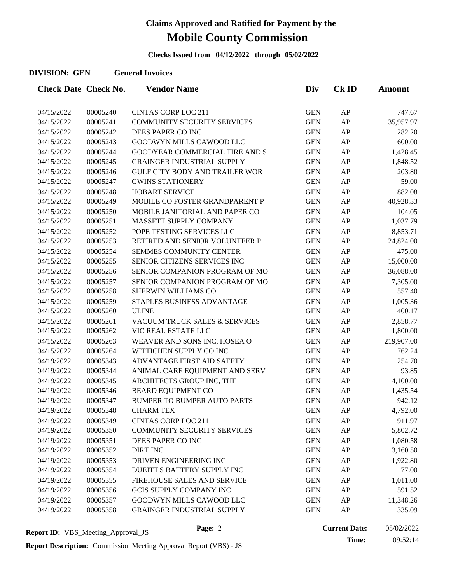**Checks Issued from 04/12/2022 through 05/02/2022**

#### **DIVISION: GEN General Invoices**

| <b>Check Date Check No.</b> |                      | <b>Vendor Name</b>                    | <u>Div</u>               | $CK$ ID    | <b>Amount</b>       |
|-----------------------------|----------------------|---------------------------------------|--------------------------|------------|---------------------|
|                             |                      | <b>CINTAS CORP LOC 211</b>            | <b>GEN</b>               | AP         |                     |
| 04/15/2022<br>04/15/2022    | 00005240<br>00005241 | COMMUNITY SECURITY SERVICES           | <b>GEN</b>               | AP         | 747.67<br>35,957.97 |
| 04/15/2022                  | 00005242             | DEES PAPER CO INC                     | <b>GEN</b>               | AP         | 282.20              |
| 04/15/2022                  | 00005243             | GOODWYN MILLS CAWOOD LLC              | <b>GEN</b>               | AP         | 600.00              |
| 04/15/2022                  | 00005244             | GOODYEAR COMMERCIAL TIRE AND S        | <b>GEN</b>               | AP         | 1,428.45            |
| 04/15/2022                  | 00005245             | <b>GRAINGER INDUSTRIAL SUPPLY</b>     | <b>GEN</b>               | ${\sf AP}$ | 1,848.52            |
| 04/15/2022                  | 00005246             | <b>GULF CITY BODY AND TRAILER WOR</b> | <b>GEN</b>               | AP         | 203.80              |
| 04/15/2022                  | 00005247             | <b>GWINS STATIONERY</b>               | <b>GEN</b>               | AP         | 59.00               |
| 04/15/2022                  | 00005248             | <b>HOBART SERVICE</b>                 | <b>GEN</b>               | AP         | 882.08              |
| 04/15/2022                  | 00005249             | MOBILE CO FOSTER GRANDPARENT P        | <b>GEN</b>               | AP         | 40,928.33           |
| 04/15/2022                  | 00005250             | MOBILE JANITORIAL AND PAPER CO        | <b>GEN</b>               | AP         | 104.05              |
| 04/15/2022                  | 00005251             | MASSETT SUPPLY COMPANY                | <b>GEN</b>               | AP         | 1,037.79            |
| 04/15/2022                  | 00005252             | POPE TESTING SERVICES LLC             | <b>GEN</b>               | AP         | 8,853.71            |
| 04/15/2022                  | 00005253             | RETIRED AND SENIOR VOLUNTEER P        | <b>GEN</b>               | ${\sf AP}$ | 24,824.00           |
|                             | 00005254             | <b>SEMMES COMMUNITY CENTER</b>        |                          | AP         |                     |
| 04/15/2022                  |                      | SENIOR CITIZENS SERVICES INC          | <b>GEN</b><br><b>GEN</b> | AP         | 475.00              |
| 04/15/2022                  | 00005255             |                                       |                          |            | 15,000.00           |
| 04/15/2022                  | 00005256             | SENIOR COMPANION PROGRAM OF MO        | <b>GEN</b>               | AP         | 36,088.00           |
| 04/15/2022                  | 00005257             | SENIOR COMPANION PROGRAM OF MO        | <b>GEN</b>               | AP         | 7,305.00            |
| 04/15/2022                  | 00005258             | <b>SHERWIN WILLIAMS CO</b>            | <b>GEN</b>               | ${\sf AP}$ | 557.40              |
| 04/15/2022                  | 00005259             | STAPLES BUSINESS ADVANTAGE            | <b>GEN</b>               | AP         | 1,005.36            |
| 04/15/2022                  | 00005260             | <b>ULINE</b>                          | <b>GEN</b>               | AP         | 400.17              |
| 04/15/2022                  | 00005261             | VACUUM TRUCK SALES & SERVICES         | <b>GEN</b>               | AP         | 2,858.77            |
| 04/15/2022                  | 00005262             | VIC REAL ESTATE LLC                   | <b>GEN</b>               | ${\sf AP}$ | 1,800.00            |
| 04/15/2022                  | 00005263             | WEAVER AND SONS INC, HOSEA O          | <b>GEN</b>               | AP         | 219,907.00          |
| 04/15/2022                  | 00005264             | WITTICHEN SUPPLY CO INC               | <b>GEN</b>               | AP         | 762.24              |
| 04/19/2022                  | 00005343             | ADVANTAGE FIRST AID SAFETY            | <b>GEN</b>               | AP         | 254.70              |
| 04/19/2022                  | 00005344             | ANIMAL CARE EQUIPMENT AND SERV        | <b>GEN</b>               | ${\sf AP}$ | 93.85               |
| 04/19/2022                  | 00005345             | ARCHITECTS GROUP INC, THE             | <b>GEN</b>               | AP         | 4,100.00            |
| 04/19/2022                  | 00005346             | <b>BEARD EQUIPMENT CO</b>             | <b>GEN</b>               | AP         | 1,435.54            |
| 04/19/2022                  | 00005347             | <b>BUMPER TO BUMPER AUTO PARTS</b>    | <b>GEN</b>               | AP         | 942.12              |
| 04/19/2022                  | 00005348             | <b>CHARM TEX</b>                      | <b>GEN</b>               | AP         | 4,792.00            |
| 04/19/2022                  | 00005349             | <b>CINTAS CORP LOC 211</b>            | <b>GEN</b>               | AP         | 911.97              |
| 04/19/2022                  | 00005350             | <b>COMMUNITY SECURITY SERVICES</b>    | <b>GEN</b>               | ${\sf AP}$ | 5,802.72            |
| 04/19/2022                  | 00005351             | DEES PAPER CO INC                     | <b>GEN</b>               | ${\sf AP}$ | 1,080.58            |
| 04/19/2022                  | 00005352             | <b>DIRT INC</b>                       | <b>GEN</b>               | ${\sf AP}$ | 3,160.50            |
| 04/19/2022                  | 00005353             | DRIVEN ENGINEERING INC                | <b>GEN</b>               | AP         | 1,922.80            |
| 04/19/2022                  | 00005354             | DUEITT'S BATTERY SUPPLY INC           | <b>GEN</b>               | ${\sf AP}$ | 77.00               |
| 04/19/2022                  | 00005355             | FIREHOUSE SALES AND SERVICE           | <b>GEN</b>               | ${\sf AP}$ | 1,011.00            |
| 04/19/2022                  | 00005356             | GCIS SUPPLY COMPANY INC               | <b>GEN</b>               | ${\sf AP}$ | 591.52              |
| 04/19/2022                  | 00005357             | GOODWYN MILLS CAWOOD LLC              | <b>GEN</b>               | AP         | 11,348.26           |
| 04/19/2022                  | 00005358             | <b>GRAINGER INDUSTRIAL SUPPLY</b>     | <b>GEN</b>               | ${\sf AP}$ | 335.09              |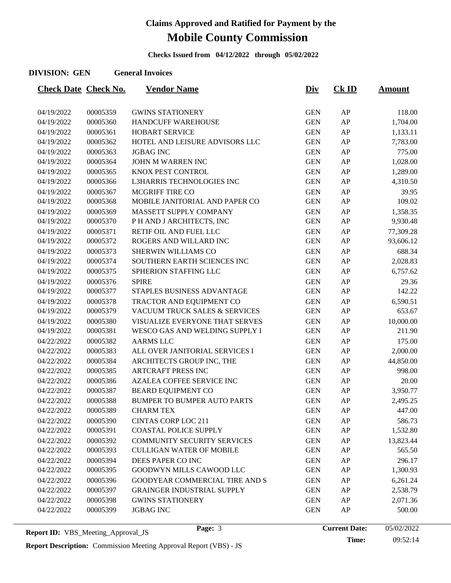**Checks Issued from 04/12/2022 through 05/02/2022**

#### **DIVISION: GEN General Invoices**

| <b>Check Date Check No.</b> |          | <b>Vendor Name</b>                 | <u>Div</u> | $CK$ ID    | <u>Amount</u> |
|-----------------------------|----------|------------------------------------|------------|------------|---------------|
|                             |          |                                    |            |            |               |
| 04/19/2022                  | 00005359 | <b>GWINS STATIONERY</b>            | <b>GEN</b> | AP         | 118.00        |
| 04/19/2022                  | 00005360 | <b>HANDCUFF WAREHOUSE</b>          | <b>GEN</b> | AP         | 1,704.00      |
| 04/19/2022                  | 00005361 | <b>HOBART SERVICE</b>              | <b>GEN</b> | AP         | 1,133.11      |
| 04/19/2022                  | 00005362 | HOTEL AND LEISURE ADVISORS LLC     | <b>GEN</b> | AP         | 7,783.00      |
| 04/19/2022                  | 00005363 | <b>JGBAG INC</b>                   | <b>GEN</b> | AP         | 775.00        |
| 04/19/2022                  | 00005364 | JOHN M WARREN INC                  | <b>GEN</b> | AP         | 1,028.00      |
| 04/19/2022                  | 00005365 | KNOX PEST CONTROL                  | <b>GEN</b> | AP         | 1,289.00      |
| 04/19/2022                  | 00005366 | L3HARRIS TECHNOLOGIES INC          | <b>GEN</b> | AP         | 4,310.50      |
| 04/19/2022                  | 00005367 | MCGRIFF TIRE CO                    | <b>GEN</b> | AP         | 39.95         |
| 04/19/2022                  | 00005368 | MOBILE JANITORIAL AND PAPER CO     | <b>GEN</b> | AP         | 109.02        |
| 04/19/2022                  | 00005369 | MASSETT SUPPLY COMPANY             | <b>GEN</b> | AP         | 1,358.35      |
| 04/19/2022                  | 00005370 | P H AND J ARCHITECTS, INC          | <b>GEN</b> | AP         | 9,930.48      |
| 04/19/2022                  | 00005371 | RETIF OIL AND FUEL LLC             | <b>GEN</b> | AP         | 77,309.28     |
| 04/19/2022                  | 00005372 | ROGERS AND WILLARD INC             | <b>GEN</b> | AP         | 93,606.12     |
| 04/19/2022                  | 00005373 | SHERWIN WILLIAMS CO                | <b>GEN</b> | AP         | 688.34        |
| 04/19/2022                  | 00005374 | SOUTHERN EARTH SCIENCES INC        | <b>GEN</b> | AP         | 2,028.83      |
| 04/19/2022                  | 00005375 | SPHERION STAFFING LLC              | <b>GEN</b> | AP         | 6,757.62      |
| 04/19/2022                  | 00005376 | <b>SPIRE</b>                       | <b>GEN</b> | AP         | 29.36         |
| 04/19/2022                  | 00005377 | STAPLES BUSINESS ADVANTAGE         | <b>GEN</b> | AP         | 142.22        |
| 04/19/2022                  | 00005378 | TRACTOR AND EQUIPMENT CO           | <b>GEN</b> | AP         | 6,590.51      |
| 04/19/2022                  | 00005379 | VACUUM TRUCK SALES & SERVICES      | <b>GEN</b> | AP         | 653.67        |
| 04/19/2022                  | 00005380 | VISUALIZE EVERYONE THAT SERVES     | <b>GEN</b> | AP         | 10,000.00     |
| 04/19/2022                  | 00005381 | WESCO GAS AND WELDING SUPPLY I     | <b>GEN</b> | AP         | 211.90        |
| 04/22/2022                  | 00005382 | <b>AARMS LLC</b>                   | <b>GEN</b> | AP         | 175.00        |
| 04/22/2022                  | 00005383 | ALL OVER JANITORIAL SERVICES I     | <b>GEN</b> | AP         | 2,000.00      |
| 04/22/2022                  | 00005384 | ARCHITECTS GROUP INC, THE          | <b>GEN</b> | AP         | 44,850.00     |
| 04/22/2022                  | 00005385 | <b>ARTCRAFT PRESS INC</b>          | <b>GEN</b> | AP         | 998.00        |
| 04/22/2022                  | 00005386 | <b>AZALEA COFFEE SERVICE INC</b>   | <b>GEN</b> | AP         | 20.00         |
| 04/22/2022                  | 00005387 | <b>BEARD EQUIPMENT CO</b>          | <b>GEN</b> | AP         | 3,950.77      |
| 04/22/2022                  | 00005388 | <b>BUMPER TO BUMPER AUTO PARTS</b> | <b>GEN</b> | AP         | 2,495.25      |
| 04/22/2022                  | 00005389 | <b>CHARM TEX</b>                   | <b>GEN</b> | ${\sf AP}$ | 447.00        |
| 04/22/2022                  | 00005390 | <b>CINTAS CORP LOC 211</b>         | <b>GEN</b> | AP         | 586.73        |
| 04/22/2022                  | 00005391 | <b>COASTAL POLICE SUPPLY</b>       | <b>GEN</b> | AP         | 1,532.80      |
| 04/22/2022                  | 00005392 | <b>COMMUNITY SECURITY SERVICES</b> | <b>GEN</b> | AP         | 13,823.44     |
| 04/22/2022                  | 00005393 | <b>CULLIGAN WATER OF MOBILE</b>    | <b>GEN</b> | AP         | 565.50        |
| 04/22/2022                  | 00005394 | DEES PAPER CO INC                  | <b>GEN</b> | AP         | 296.17        |
| 04/22/2022                  | 00005395 | GOODWYN MILLS CAWOOD LLC           | <b>GEN</b> | AP         | 1,300.93      |
| 04/22/2022                  | 00005396 | GOODYEAR COMMERCIAL TIRE AND S     | <b>GEN</b> | AP         | 6,261.24      |
| 04/22/2022                  | 00005397 | <b>GRAINGER INDUSTRIAL SUPPLY</b>  | <b>GEN</b> | AP         | 2,538.79      |
| 04/22/2022                  | 00005398 | <b>GWINS STATIONERY</b>            | <b>GEN</b> | AP         | 2,071.36      |
| 04/22/2022                  | 00005399 | <b>JGBAG INC</b>                   | <b>GEN</b> | AP         | 500.00        |
|                             |          |                                    |            |            |               |

**Report Description:** Commission Meeting Approval Report (VBS) - JS

Page: 3 **Current Date:** 05/02/2022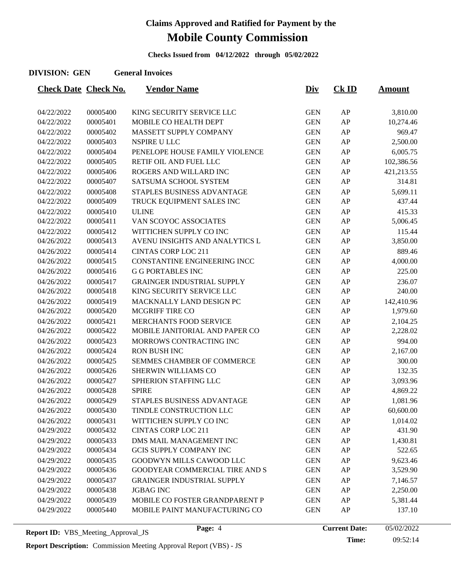**Checks Issued from 04/12/2022 through 05/02/2022**

#### **DIVISION: GEN General Invoices**

| <b>Check Date Check No.</b> |          | <b>Vendor Name</b>                    | <u>Div</u> | <b>Ck ID</b> | <u>Amount</u> |
|-----------------------------|----------|---------------------------------------|------------|--------------|---------------|
|                             |          |                                       |            |              |               |
| 04/22/2022                  | 00005400 | KING SECURITY SERVICE LLC             | <b>GEN</b> | AP           | 3,810.00      |
| 04/22/2022                  | 00005401 | MOBILE CO HEALTH DEPT                 | <b>GEN</b> | AP           | 10,274.46     |
| 04/22/2022                  | 00005402 | MASSETT SUPPLY COMPANY                | <b>GEN</b> | AP           | 969.47        |
| 04/22/2022                  | 00005403 | NSPIRE U LLC                          | <b>GEN</b> | AP           | 2,500.00      |
| 04/22/2022                  | 00005404 | PENELOPE HOUSE FAMILY VIOLENCE        | <b>GEN</b> | AP           | 6,005.75      |
| 04/22/2022                  | 00005405 | RETIF OIL AND FUEL LLC                | <b>GEN</b> | AP           | 102,386.56    |
| 04/22/2022                  | 00005406 | ROGERS AND WILLARD INC                | <b>GEN</b> | AP           | 421,213.55    |
| 04/22/2022                  | 00005407 | SATSUMA SCHOOL SYSTEM                 | <b>GEN</b> | AP           | 314.81        |
| 04/22/2022                  | 00005408 | STAPLES BUSINESS ADVANTAGE            | <b>GEN</b> | AP           | 5,699.11      |
| 04/22/2022                  | 00005409 | TRUCK EQUIPMENT SALES INC             | <b>GEN</b> | AP           | 437.44        |
| 04/22/2022                  | 00005410 | <b>ULINE</b>                          | <b>GEN</b> | AP           | 415.33        |
| 04/22/2022                  | 00005411 | VAN SCOYOC ASSOCIATES                 | <b>GEN</b> | AP           | 5,006.45      |
| 04/22/2022                  | 00005412 | WITTICHEN SUPPLY CO INC               | <b>GEN</b> | AP           | 115.44        |
| 04/26/2022                  | 00005413 | AVENU INSIGHTS AND ANALYTICS L        | <b>GEN</b> | AP           | 3,850.00      |
| 04/26/2022                  | 00005414 | <b>CINTAS CORP LOC 211</b>            | <b>GEN</b> | AP           | 889.46        |
| 04/26/2022                  | 00005415 | CONSTANTINE ENGINEERING INCC          | <b>GEN</b> | AP           | 4,000.00      |
| 04/26/2022                  | 00005416 | <b>G G PORTABLES INC</b>              | <b>GEN</b> | AP           | 225.00        |
| 04/26/2022                  | 00005417 | <b>GRAINGER INDUSTRIAL SUPPLY</b>     | <b>GEN</b> | AP           | 236.07        |
| 04/26/2022                  | 00005418 | KING SECURITY SERVICE LLC             | <b>GEN</b> | AP           | 240.00        |
| 04/26/2022                  | 00005419 | MACKNALLY LAND DESIGN PC              | <b>GEN</b> | AP           | 142,410.96    |
| 04/26/2022                  | 00005420 | MCGRIFF TIRE CO                       | <b>GEN</b> | AP           | 1,979.60      |
| 04/26/2022                  | 00005421 | <b>MERCHANTS FOOD SERVICE</b>         | <b>GEN</b> | AP           | 2,104.25      |
| 04/26/2022                  | 00005422 | MOBILE JANITORIAL AND PAPER CO        | <b>GEN</b> | AP           | 2,228.02      |
| 04/26/2022                  | 00005423 | MORROWS CONTRACTING INC               | <b>GEN</b> | AP           | 994.00        |
| 04/26/2022                  | 00005424 | <b>RON BUSH INC</b>                   | <b>GEN</b> | AP           | 2,167.00      |
| 04/26/2022                  | 00005425 | SEMMES CHAMBER OF COMMERCE            | <b>GEN</b> | AP           | 300.00        |
| 04/26/2022                  | 00005426 | SHERWIN WILLIAMS CO                   | <b>GEN</b> | AP           | 132.35        |
| 04/26/2022                  | 00005427 | SPHERION STAFFING LLC                 | <b>GEN</b> | AP           | 3,093.96      |
| 04/26/2022                  | 00005428 | <b>SPIRE</b>                          | <b>GEN</b> | AP           | 4,869.22      |
| 04/26/2022                  | 00005429 | STAPLES BUSINESS ADVANTAGE            | <b>GEN</b> | AP           | 1,081.96      |
| 04/26/2022                  | 00005430 | TINDLE CONSTRUCTION LLC               | <b>GEN</b> | AP           | 60,600.00     |
| 04/26/2022                  | 00005431 | WITTICHEN SUPPLY CO INC               | <b>GEN</b> | AP           | 1,014.02      |
| 04/29/2022                  | 00005432 | <b>CINTAS CORP LOC 211</b>            | <b>GEN</b> | AP           | 431.90        |
| 04/29/2022                  | 00005433 | DMS MAIL MANAGEMENT INC               | <b>GEN</b> | AP           | 1,430.81      |
| 04/29/2022                  | 00005434 | <b>GCIS SUPPLY COMPANY INC</b>        | <b>GEN</b> | AP           | 522.65        |
| 04/29/2022                  | 00005435 | GOODWYN MILLS CAWOOD LLC              | <b>GEN</b> | AP           | 9,623.46      |
| 04/29/2022                  | 00005436 | <b>GOODYEAR COMMERCIAL TIRE AND S</b> | <b>GEN</b> | AP           | 3,529.90      |
| 04/29/2022                  | 00005437 | <b>GRAINGER INDUSTRIAL SUPPLY</b>     | <b>GEN</b> | AP           | 7,146.57      |
| 04/29/2022                  | 00005438 | <b>JGBAG INC</b>                      | <b>GEN</b> | AP           | 2,250.00      |
| 04/29/2022                  | 00005439 | MOBILE CO FOSTER GRANDPARENT P        | <b>GEN</b> | AP           | 5,381.44      |
| 04/29/2022                  | 00005440 | MOBILE PAINT MANUFACTURING CO         | <b>GEN</b> | AP           | 137.10        |
|                             |          |                                       |            |              |               |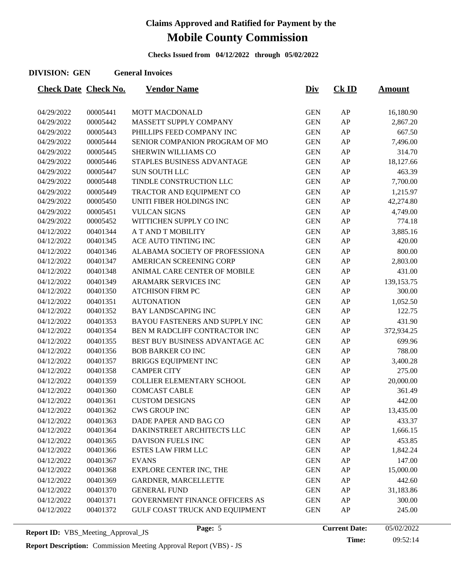**Checks Issued from 04/12/2022 through 05/02/2022**

#### **DIVISION: GEN General Invoices**

| <b>Check Date Check No.</b> |          | <b>Vendor Name</b>                    | <u>Div</u> | $CK$ ID | <b>Amount</b> |
|-----------------------------|----------|---------------------------------------|------------|---------|---------------|
|                             |          |                                       |            |         |               |
| 04/29/2022                  | 00005441 | <b>MOTT MACDONALD</b>                 | <b>GEN</b> | AP      | 16,180.90     |
| 04/29/2022                  | 00005442 | MASSETT SUPPLY COMPANY                | <b>GEN</b> | AP      | 2,867.20      |
| 04/29/2022                  | 00005443 | PHILLIPS FEED COMPANY INC             | <b>GEN</b> | AP      | 667.50        |
| 04/29/2022                  | 00005444 | SENIOR COMPANION PROGRAM OF MO        | <b>GEN</b> | AP      | 7,496.00      |
| 04/29/2022                  | 00005445 | SHERWIN WILLIAMS CO                   | <b>GEN</b> | AP      | 314.70        |
| 04/29/2022                  | 00005446 | STAPLES BUSINESS ADVANTAGE            | <b>GEN</b> | AP      | 18,127.66     |
| 04/29/2022                  | 00005447 | SUN SOUTH LLC                         | <b>GEN</b> | AP      | 463.39        |
| 04/29/2022                  | 00005448 | TINDLE CONSTRUCTION LLC               | <b>GEN</b> | AP      | 7,700.00      |
| 04/29/2022                  | 00005449 | TRACTOR AND EQUIPMENT CO              | <b>GEN</b> | AP      | 1,215.97      |
| 04/29/2022                  | 00005450 | UNITI FIBER HOLDINGS INC              | <b>GEN</b> | AP      | 42,274.80     |
| 04/29/2022                  | 00005451 | <b>VULCAN SIGNS</b>                   | <b>GEN</b> | AP      | 4,749.00      |
| 04/29/2022                  | 00005452 | WITTICHEN SUPPLY CO INC               | <b>GEN</b> | AP      | 774.18        |
| 04/12/2022                  | 00401344 | A T AND T MOBILITY                    | <b>GEN</b> | AP      | 3,885.16      |
| 04/12/2022                  | 00401345 | ACE AUTO TINTING INC                  | <b>GEN</b> | AP      | 420.00        |
| 04/12/2022                  | 00401346 | ALABAMA SOCIETY OF PROFESSIONA        | <b>GEN</b> | AP      | 800.00        |
| 04/12/2022                  | 00401347 | AMERICAN SCREENING CORP               | <b>GEN</b> | AP      | 2,803.00      |
| 04/12/2022                  | 00401348 | ANIMAL CARE CENTER OF MOBILE          | <b>GEN</b> | AP      | 431.00        |
| 04/12/2022                  | 00401349 | <b>ARAMARK SERVICES INC</b>           | <b>GEN</b> | AP      | 139, 153. 75  |
| 04/12/2022                  | 00401350 | <b>ATCHISON FIRM PC</b>               | <b>GEN</b> | AP      | 300.00        |
| 04/12/2022                  | 00401351 | <b>AUTONATION</b>                     | <b>GEN</b> | AP      | 1,052.50      |
| 04/12/2022                  | 00401352 | <b>BAY LANDSCAPING INC</b>            | <b>GEN</b> | AP      | 122.75        |
| 04/12/2022                  | 00401353 | BAYOU FASTENERS AND SUPPLY INC        | <b>GEN</b> | AP      | 431.90        |
| 04/12/2022                  | 00401354 | BEN M RADCLIFF CONTRACTOR INC         | <b>GEN</b> | AP      | 372,934.25    |
| 04/12/2022                  | 00401355 | BEST BUY BUSINESS ADVANTAGE AC        | <b>GEN</b> | AP      | 699.96        |
| 04/12/2022                  | 00401356 | <b>BOB BARKER CO INC</b>              | <b>GEN</b> | AP      | 788.00        |
| 04/12/2022                  | 00401357 | <b>BRIGGS EQUIPMENT INC</b>           | <b>GEN</b> | AP      | 3,400.28      |
| 04/12/2022                  | 00401358 | <b>CAMPER CITY</b>                    | <b>GEN</b> | AP      | 275.00        |
| 04/12/2022                  | 00401359 | COLLIER ELEMENTARY SCHOOL             | <b>GEN</b> | AP      | 20,000.00     |
| 04/12/2022                  | 00401360 | <b>COMCAST CABLE</b>                  | <b>GEN</b> | AP      | 361.49        |
| 04/12/2022                  | 00401361 | <b>CUSTOM DESIGNS</b>                 | <b>GEN</b> | AP      | 442.00        |
| 04/12/2022                  | 00401362 | <b>CWS GROUP INC</b>                  | <b>GEN</b> | AP      | 13,435.00     |
| 04/12/2022                  | 00401363 | DADE PAPER AND BAG CO                 | <b>GEN</b> | AP      | 433.37        |
| 04/12/2022                  | 00401364 | DAKINSTREET ARCHITECTS LLC            | <b>GEN</b> | AP      | 1,666.15      |
| 04/12/2022                  | 00401365 | DAVISON FUELS INC                     | <b>GEN</b> | AP      | 453.85        |
| 04/12/2022                  | 00401366 | <b>ESTES LAW FIRM LLC</b>             | <b>GEN</b> | AP      | 1,842.24      |
| 04/12/2022                  | 00401367 | <b>EVANS</b>                          | <b>GEN</b> | AP      | 147.00        |
| 04/12/2022                  | 00401368 | EXPLORE CENTER INC, THE               | <b>GEN</b> | AP      | 15,000.00     |
| 04/12/2022                  | 00401369 | GARDNER, MARCELLETTE                  | <b>GEN</b> | AP      | 442.60        |
| 04/12/2022                  | 00401370 | <b>GENERAL FUND</b>                   | <b>GEN</b> | AP      | 31,183.86     |
| 04/12/2022                  | 00401371 | <b>GOVERNMENT FINANCE OFFICERS AS</b> | <b>GEN</b> | AP      | 300.00        |
| 04/12/2022                  | 00401372 | GULF COAST TRUCK AND EQUIPMENT        | <b>GEN</b> | AP      | 245.00        |
|                             |          |                                       |            |         |               |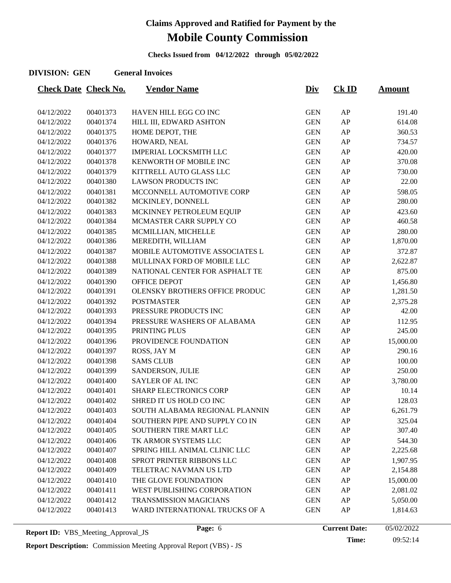**Checks Issued from 04/12/2022 through 05/02/2022**

#### **DIVISION: GEN General Invoices**

| <b>Check Date Check No.</b> |          | <b>Vendor Name</b>                    | <u>Div</u> | $CK$ ID | <u>Amount</u> |
|-----------------------------|----------|---------------------------------------|------------|---------|---------------|
|                             |          |                                       |            |         |               |
| 04/12/2022                  | 00401373 | HAVEN HILL EGG CO INC                 | <b>GEN</b> | AP      | 191.40        |
| 04/12/2022                  | 00401374 | HILL III, EDWARD ASHTON               | <b>GEN</b> | AP      | 614.08        |
| 04/12/2022                  | 00401375 | HOME DEPOT, THE                       | <b>GEN</b> | AP      | 360.53        |
| 04/12/2022                  | 00401376 | HOWARD, NEAL                          | <b>GEN</b> | AP      | 734.57        |
| 04/12/2022                  | 00401377 | <b>IMPERIAL LOCKSMITH LLC</b>         | <b>GEN</b> | AP      | 420.00        |
| 04/12/2022                  | 00401378 | KENWORTH OF MOBILE INC                | <b>GEN</b> | AP      | 370.08        |
| 04/12/2022                  | 00401379 | KITTRELL AUTO GLASS LLC               | <b>GEN</b> | AP      | 730.00        |
| 04/12/2022                  | 00401380 | <b>LAWSON PRODUCTS INC</b>            | <b>GEN</b> | AP      | 22.00         |
| 04/12/2022                  | 00401381 | MCCONNELL AUTOMOTIVE CORP             | <b>GEN</b> | AP      | 598.05        |
| 04/12/2022                  | 00401382 | MCKINLEY, DONNELL                     | <b>GEN</b> | AP      | 280.00        |
| 04/12/2022                  | 00401383 | MCKINNEY PETROLEUM EQUIP              | <b>GEN</b> | AP      | 423.60        |
| 04/12/2022                  | 00401384 | MCMASTER CARR SUPPLY CO               | <b>GEN</b> | AP      | 460.58        |
| 04/12/2022                  | 00401385 | MCMILLIAN, MICHELLE                   | <b>GEN</b> | AP      | 280.00        |
| 04/12/2022                  | 00401386 | MEREDITH, WILLIAM                     | <b>GEN</b> | AP      | 1,870.00      |
| 04/12/2022                  | 00401387 | MOBILE AUTOMOTIVE ASSOCIATES L        | <b>GEN</b> | AP      | 372.87        |
| 04/12/2022                  | 00401388 | MULLINAX FORD OF MOBILE LLC           | <b>GEN</b> | AP      | 2,622.87      |
| 04/12/2022                  | 00401389 | NATIONAL CENTER FOR ASPHALT TE        | <b>GEN</b> | AP      | 875.00        |
| 04/12/2022                  | 00401390 | OFFICE DEPOT                          | <b>GEN</b> | AP      | 1,456.80      |
| 04/12/2022                  | 00401391 | <b>OLENSKY BROTHERS OFFICE PRODUC</b> | <b>GEN</b> | AP      | 1,281.50      |
| 04/12/2022                  | 00401392 | <b>POSTMASTER</b>                     | <b>GEN</b> | AP      | 2,375.28      |
| 04/12/2022                  | 00401393 | PRESSURE PRODUCTS INC                 | <b>GEN</b> | AP      | 42.00         |
| 04/12/2022                  | 00401394 | PRESSURE WASHERS OF ALABAMA           | <b>GEN</b> | AP      | 112.95        |
| 04/12/2022                  | 00401395 | PRINTING PLUS                         | <b>GEN</b> | AP      | 245.00        |
| 04/12/2022                  | 00401396 | PROVIDENCE FOUNDATION                 | <b>GEN</b> | AP      | 15,000.00     |
| 04/12/2022                  | 00401397 | ROSS, JAY M                           | <b>GEN</b> | AP      | 290.16        |
| 04/12/2022                  | 00401398 | <b>SAMS CLUB</b>                      | <b>GEN</b> | AP      | 100.00        |
| 04/12/2022                  | 00401399 | SANDERSON, JULIE                      | <b>GEN</b> | AP      | 250.00        |
| 04/12/2022                  | 00401400 | <b>SAYLER OF AL INC</b>               | <b>GEN</b> | AP      | 3,780.00      |
| 04/12/2022                  | 00401401 | <b>SHARP ELECTRONICS CORP</b>         | <b>GEN</b> | AP      | 10.14         |
| 04/12/2022                  | 00401402 | SHRED IT US HOLD CO INC               | <b>GEN</b> | AP      | 128.03        |
| 04/12/2022                  | 00401403 | SOUTH ALABAMA REGIONAL PLANNIN        | <b>GEN</b> | AP      | 6,261.79      |
| 04/12/2022                  | 00401404 | SOUTHERN PIPE AND SUPPLY CO IN        | <b>GEN</b> | AP      | 325.04        |
| 04/12/2022                  | 00401405 | SOUTHERN TIRE MART LLC                | <b>GEN</b> | AP      | 307.40        |
| 04/12/2022                  | 00401406 | TK ARMOR SYSTEMS LLC                  | <b>GEN</b> | AP      | 544.30        |
| 04/12/2022                  | 00401407 | SPRING HILL ANIMAL CLINIC LLC         | <b>GEN</b> | AP      | 2,225.68      |
| 04/12/2022                  | 00401408 | SPROT PRINTER RIBBONS LLC             | <b>GEN</b> | AP      | 1,907.95      |
| 04/12/2022                  | 00401409 | TELETRAC NAVMAN US LTD                | <b>GEN</b> | AP      | 2,154.88      |
| 04/12/2022                  | 00401410 | THE GLOVE FOUNDATION                  | <b>GEN</b> | AP      | 15,000.00     |
| 04/12/2022                  | 00401411 | WEST PUBLISHING CORPORATION           | <b>GEN</b> | AP      | 2,081.02      |
| 04/12/2022                  | 00401412 | <b>TRANSMISSION MAGICIANS</b>         | <b>GEN</b> | AP      | 5,050.00      |
| 04/12/2022                  | 00401413 | WARD INTERNATIONAL TRUCKS OF A        | <b>GEN</b> | AP      | 1,814.63      |
|                             |          |                                       |            |         |               |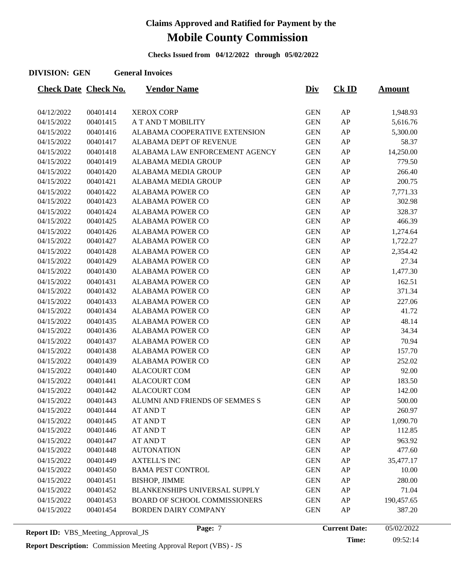**Checks Issued from 04/12/2022 through 05/02/2022**

#### **DIVISION: GEN General Invoices**

| <b>Check Date Check No.</b> |          | <u>Vendor Name</u>                   | <u>Div</u> | $CK$ ID | <u>Amount</u> |
|-----------------------------|----------|--------------------------------------|------------|---------|---------------|
|                             |          |                                      |            |         |               |
| 04/12/2022                  | 00401414 | <b>XEROX CORP</b>                    | <b>GEN</b> | AP      | 1,948.93      |
| 04/15/2022                  | 00401415 | A T AND T MOBILITY                   | <b>GEN</b> | AP      | 5,616.76      |
| 04/15/2022                  | 00401416 | ALABAMA COOPERATIVE EXTENSION        | <b>GEN</b> | AP      | 5,300.00      |
| 04/15/2022                  | 00401417 | ALABAMA DEPT OF REVENUE              | <b>GEN</b> | AP      | 58.37         |
| 04/15/2022                  | 00401418 | ALABAMA LAW ENFORCEMENT AGENCY       | <b>GEN</b> | AP      | 14,250.00     |
| 04/15/2022                  | 00401419 | ALABAMA MEDIA GROUP                  | <b>GEN</b> | AP      | 779.50        |
| 04/15/2022                  | 00401420 | <b>ALABAMA MEDIA GROUP</b>           | <b>GEN</b> | AP      | 266.40        |
| 04/15/2022                  | 00401421 | ALABAMA MEDIA GROUP                  | <b>GEN</b> | AP      | 200.75        |
| 04/15/2022                  | 00401422 | <b>ALABAMA POWER CO</b>              | <b>GEN</b> | AP      | 7,771.33      |
| 04/15/2022                  | 00401423 | <b>ALABAMA POWER CO</b>              | <b>GEN</b> | AP      | 302.98        |
| 04/15/2022                  | 00401424 | <b>ALABAMA POWER CO</b>              | <b>GEN</b> | AP      | 328.37        |
| 04/15/2022                  | 00401425 | <b>ALABAMA POWER CO</b>              | <b>GEN</b> | AP      | 466.39        |
| 04/15/2022                  | 00401426 | <b>ALABAMA POWER CO</b>              | <b>GEN</b> | AP      | 1,274.64      |
| 04/15/2022                  | 00401427 | <b>ALABAMA POWER CO</b>              | <b>GEN</b> | AP      | 1,722.27      |
| 04/15/2022                  | 00401428 | <b>ALABAMA POWER CO</b>              | <b>GEN</b> | AP      | 2,354.42      |
| 04/15/2022                  | 00401429 | <b>ALABAMA POWER CO</b>              | <b>GEN</b> | AP      | 27.34         |
| 04/15/2022                  | 00401430 | <b>ALABAMA POWER CO</b>              | <b>GEN</b> | AP      | 1,477.30      |
| 04/15/2022                  | 00401431 | <b>ALABAMA POWER CO</b>              | <b>GEN</b> | AP      | 162.51        |
| 04/15/2022                  | 00401432 | <b>ALABAMA POWER CO</b>              | <b>GEN</b> | AP      | 371.34        |
| 04/15/2022                  | 00401433 | <b>ALABAMA POWER CO</b>              | <b>GEN</b> | AP      | 227.06        |
| 04/15/2022                  | 00401434 | <b>ALABAMA POWER CO</b>              | <b>GEN</b> | AP      | 41.72         |
| 04/15/2022                  | 00401435 | <b>ALABAMA POWER CO</b>              | <b>GEN</b> | AP      | 48.14         |
| 04/15/2022                  | 00401436 | <b>ALABAMA POWER CO</b>              | <b>GEN</b> | AP      | 34.34         |
| 04/15/2022                  | 00401437 | <b>ALABAMA POWER CO</b>              | <b>GEN</b> | AP      | 70.94         |
| 04/15/2022                  | 00401438 | <b>ALABAMA POWER CO</b>              | <b>GEN</b> | AP      | 157.70        |
| 04/15/2022                  | 00401439 | <b>ALABAMA POWER CO</b>              | <b>GEN</b> | AP      | 252.02        |
| 04/15/2022                  | 00401440 | <b>ALACOURT COM</b>                  | <b>GEN</b> | AP      | 92.00         |
| 04/15/2022                  | 00401441 | <b>ALACOURT COM</b>                  | <b>GEN</b> | AP      | 183.50        |
| 04/15/2022                  | 00401442 | <b>ALACOURT COM</b>                  | <b>GEN</b> | AP      | 142.00        |
| 04/15/2022                  | 00401443 | ALUMNI AND FRIENDS OF SEMMES S       | <b>GEN</b> | AP      | 500.00        |
| 04/15/2022                  | 00401444 | <b>AT AND T</b>                      | <b>GEN</b> | AP      | 260.97        |
| 04/15/2022                  | 00401445 | <b>AT AND T</b>                      | <b>GEN</b> | AP      | 1,090.70      |
| 04/15/2022                  | 00401446 | <b>AT AND T</b>                      | <b>GEN</b> | AP      | 112.85        |
| 04/15/2022                  | 00401447 | <b>AT AND T</b>                      | <b>GEN</b> | AP      | 963.92        |
| 04/15/2022                  | 00401448 | <b>AUTONATION</b>                    | <b>GEN</b> | AP      | 477.60        |
| 04/15/2022                  | 00401449 | <b>AXTELL'S INC</b>                  | <b>GEN</b> | AP      | 35,477.17     |
| 04/15/2022                  | 00401450 | <b>BAMA PEST CONTROL</b>             | <b>GEN</b> | AP      | 10.00         |
| 04/15/2022                  | 00401451 | <b>BISHOP, JIMME</b>                 | <b>GEN</b> | AP      | 280.00        |
| 04/15/2022                  | 00401452 | BLANKENSHIPS UNIVERSAL SUPPLY        | <b>GEN</b> | AP      | 71.04         |
| 04/15/2022                  | 00401453 | <b>BOARD OF SCHOOL COMMISSIONERS</b> | <b>GEN</b> | AP      | 190,457.65    |
| 04/15/2022                  | 00401454 | BORDEN DAIRY COMPANY                 | <b>GEN</b> | AP      | 387.20        |
|                             |          |                                      |            |         |               |

**Report ID:** VBS\_Meeting\_Approval\_JS **Page:** 7 **Page:** 7 **Current Date: Report Description:** Commission Meeting Approval Report (VBS) - JS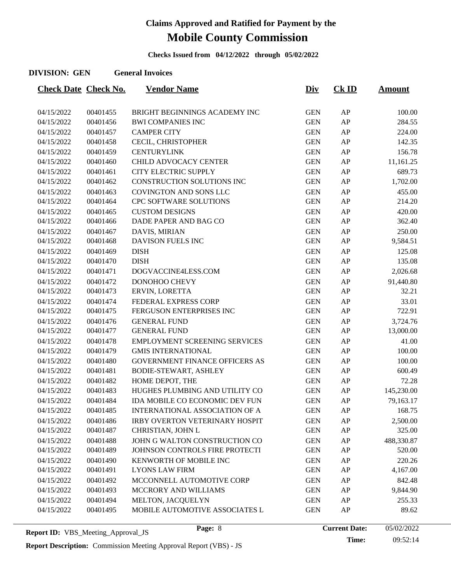**Checks Issued from 04/12/2022 through 05/02/2022**

#### **DIVISION: GEN General Invoices**

| <b>Check Date Check No.</b> |          | <b>Vendor Name</b>                    | <u>Div</u> | CKID | <u>Amount</u> |
|-----------------------------|----------|---------------------------------------|------------|------|---------------|
|                             |          |                                       |            |      |               |
| 04/15/2022                  | 00401455 | BRIGHT BEGINNINGS ACADEMY INC         | <b>GEN</b> | AP   | 100.00        |
| 04/15/2022                  | 00401456 | <b>BWI COMPANIES INC</b>              | <b>GEN</b> | AP   | 284.55        |
| 04/15/2022                  | 00401457 | <b>CAMPER CITY</b>                    | <b>GEN</b> | AP   | 224.00        |
| 04/15/2022                  | 00401458 | CECIL, CHRISTOPHER                    | <b>GEN</b> | AP   | 142.35        |
| 04/15/2022                  | 00401459 | <b>CENTURYLINK</b>                    | <b>GEN</b> | AP   | 156.78        |
| 04/15/2022                  | 00401460 | CHILD ADVOCACY CENTER                 | <b>GEN</b> | AP   | 11,161.25     |
| 04/15/2022                  | 00401461 | CITY ELECTRIC SUPPLY                  | <b>GEN</b> | AP   | 689.73        |
| 04/15/2022                  | 00401462 | CONSTRUCTION SOLUTIONS INC            | <b>GEN</b> | AP   | 1,702.00      |
| 04/15/2022                  | 00401463 | COVINGTON AND SONS LLC                | <b>GEN</b> | AP   | 455.00        |
| 04/15/2022                  | 00401464 | <b>CPC SOFTWARE SOLUTIONS</b>         | <b>GEN</b> | AP   | 214.20        |
| 04/15/2022                  | 00401465 | <b>CUSTOM DESIGNS</b>                 | <b>GEN</b> | AP   | 420.00        |
| 04/15/2022                  | 00401466 | DADE PAPER AND BAG CO                 | <b>GEN</b> | AP   | 362.40        |
| 04/15/2022                  | 00401467 | DAVIS, MIRIAN                         | <b>GEN</b> | AP   | 250.00        |
| 04/15/2022                  | 00401468 | <b>DAVISON FUELS INC</b>              | <b>GEN</b> | AP   | 9,584.51      |
| 04/15/2022                  | 00401469 | <b>DISH</b>                           | <b>GEN</b> | AP   | 125.08        |
| 04/15/2022                  | 00401470 | <b>DISH</b>                           | <b>GEN</b> | AP   | 135.08        |
| 04/15/2022                  | 00401471 | DOGVACCINE4LESS.COM                   | <b>GEN</b> | AP   | 2,026.68      |
| 04/15/2022                  | 00401472 | DONOHOO CHEVY                         | <b>GEN</b> | AP   | 91,440.80     |
| 04/15/2022                  | 00401473 | ERVIN, LORETTA                        | <b>GEN</b> | AP   | 32.21         |
| 04/15/2022                  | 00401474 | FEDERAL EXPRESS CORP                  | <b>GEN</b> | AP   | 33.01         |
| 04/15/2022                  | 00401475 | FERGUSON ENTERPRISES INC              | <b>GEN</b> | AP   | 722.91        |
| 04/15/2022                  | 00401476 | <b>GENERAL FUND</b>                   | <b>GEN</b> | AP   | 3,724.76      |
| 04/15/2022                  | 00401477 | <b>GENERAL FUND</b>                   | <b>GEN</b> | AP   | 13,000.00     |
| 04/15/2022                  | 00401478 | <b>EMPLOYMENT SCREENING SERVICES</b>  | <b>GEN</b> | AP   | 41.00         |
| 04/15/2022                  | 00401479 | <b>GMIS INTERNATIONAL</b>             | <b>GEN</b> | AP   | 100.00        |
| 04/15/2022                  | 00401480 | <b>GOVERNMENT FINANCE OFFICERS AS</b> | <b>GEN</b> | AP   | 100.00        |
| 04/15/2022                  | 00401481 | <b>BODIE-STEWART, ASHLEY</b>          | <b>GEN</b> | AP   | 600.49        |
| 04/15/2022                  | 00401482 | HOME DEPOT, THE                       | <b>GEN</b> | AP   | 72.28         |
| 04/15/2022                  | 00401483 | HUGHES PLUMBING AND UTILITY CO        | <b>GEN</b> | AP   | 145,230.00    |
| 04/15/2022                  | 00401484 | IDA MOBILE CO ECONOMIC DEV FUN        | <b>GEN</b> | AP   | 79,163.17     |
| 04/15/2022                  | 00401485 | INTERNATIONAL ASSOCIATION OF A        | <b>GEN</b> | AP   | 168.75        |
| 04/15/2022                  | 00401486 | <b>IRBY OVERTON VETERINARY HOSPIT</b> | <b>GEN</b> | AP   | 2,500.00      |
| 04/15/2022                  | 00401487 | CHRISTIAN, JOHN L                     | <b>GEN</b> | AP   | 325.00        |
| 04/15/2022                  | 00401488 | JOHN G WALTON CONSTRUCTION CO         | <b>GEN</b> | AP   | 488,330.87    |
| 04/15/2022                  | 00401489 | JOHNSON CONTROLS FIRE PROTECTI        | <b>GEN</b> | AP   | 520.00        |
| 04/15/2022                  | 00401490 | KENWORTH OF MOBILE INC                | <b>GEN</b> | AP   | 220.26        |
| 04/15/2022                  | 00401491 | <b>LYONS LAW FIRM</b>                 | <b>GEN</b> | AP   | 4,167.00      |
| 04/15/2022                  | 00401492 | MCCONNELL AUTOMOTIVE CORP             | <b>GEN</b> | AP   | 842.48        |
| 04/15/2022                  | 00401493 | MCCRORY AND WILLIAMS                  | <b>GEN</b> | AP   | 9,844.90      |
| 04/15/2022                  | 00401494 | MELTON, JACQUELYN                     | <b>GEN</b> | AP   | 255.33        |
| 04/15/2022                  | 00401495 | MOBILE AUTOMOTIVE ASSOCIATES L        | <b>GEN</b> | AP   | 89.62         |
|                             |          |                                       |            |      |               |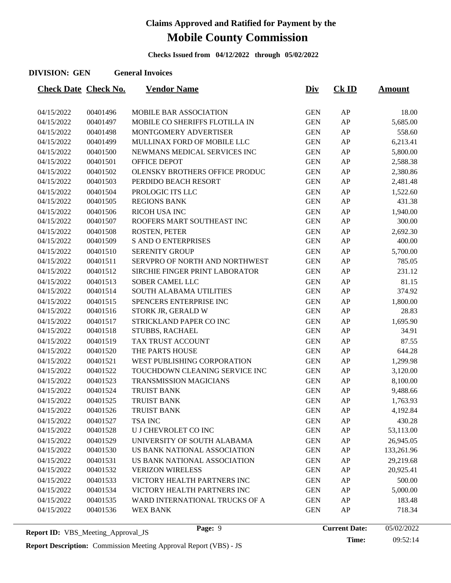**Checks Issued from 04/12/2022 through 05/02/2022**

#### **DIVISION: GEN General Invoices**

| <b>Check Date Check No.</b> |          | <u>Vendor Name</u>             | <u>Div</u> | $CK$ ID | <u>Amount</u> |
|-----------------------------|----------|--------------------------------|------------|---------|---------------|
|                             |          |                                |            |         |               |
| 04/15/2022                  | 00401496 | MOBILE BAR ASSOCIATION         | <b>GEN</b> | AP      | 18.00         |
| 04/15/2022                  | 00401497 | MOBILE CO SHERIFFS FLOTILLA IN | <b>GEN</b> | AP      | 5,685.00      |
| 04/15/2022                  | 00401498 | MONTGOMERY ADVERTISER          | <b>GEN</b> | AP      | 558.60        |
| 04/15/2022                  | 00401499 | MULLINAX FORD OF MOBILE LLC    | <b>GEN</b> | AP      | 6,213.41      |
| 04/15/2022                  | 00401500 | NEWMANS MEDICAL SERVICES INC   | <b>GEN</b> | AP      | 5,800.00      |
| 04/15/2022                  | 00401501 | OFFICE DEPOT                   | <b>GEN</b> | AP      | 2,588.38      |
| 04/15/2022                  | 00401502 | OLENSKY BROTHERS OFFICE PRODUC | <b>GEN</b> | AP      | 2,380.86      |
| 04/15/2022                  | 00401503 | PERDIDO BEACH RESORT           | <b>GEN</b> | AP      | 2,481.48      |
| 04/15/2022                  | 00401504 | PROLOGIC ITS LLC               | <b>GEN</b> | AP      | 1,522.60      |
| 04/15/2022                  | 00401505 | <b>REGIONS BANK</b>            | <b>GEN</b> | AP      | 431.38        |
| 04/15/2022                  | 00401506 | <b>RICOH USA INC</b>           | <b>GEN</b> | AP      | 1,940.00      |
| 04/15/2022                  | 00401507 | ROOFERS MART SOUTHEAST INC     | <b>GEN</b> | AP      | 300.00        |
| 04/15/2022                  | 00401508 | ROSTEN, PETER                  | <b>GEN</b> | AP      | 2,692.30      |
| 04/15/2022                  | 00401509 | <b>S AND O ENTERPRISES</b>     | <b>GEN</b> | AP      | 400.00        |
| 04/15/2022                  | 00401510 | <b>SERENITY GROUP</b>          | <b>GEN</b> | AP      | 5,700.00      |
| 04/15/2022                  | 00401511 | SERVPRO OF NORTH AND NORTHWEST | <b>GEN</b> | AP      | 785.05        |
| 04/15/2022                  | 00401512 | SIRCHIE FINGER PRINT LABORATOR | <b>GEN</b> | AP      | 231.12        |
| 04/15/2022                  | 00401513 | <b>SOBER CAMEL LLC</b>         | <b>GEN</b> | AP      | 81.15         |
| 04/15/2022                  | 00401514 | SOUTH ALABAMA UTILITIES        | <b>GEN</b> | AP      | 374.92        |
| 04/15/2022                  | 00401515 | SPENCERS ENTERPRISE INC        | <b>GEN</b> | AP      | 1,800.00      |
| 04/15/2022                  | 00401516 | STORK JR, GERALD W             | <b>GEN</b> | AP      | 28.83         |
| 04/15/2022                  | 00401517 | STRICKLAND PAPER CO INC        | <b>GEN</b> | AP      | 1,695.90      |
| 04/15/2022                  | 00401518 | STUBBS, RACHAEL                | <b>GEN</b> | AP      | 34.91         |
| 04/15/2022                  | 00401519 | TAX TRUST ACCOUNT              | <b>GEN</b> | AP      | 87.55         |
| 04/15/2022                  | 00401520 | THE PARTS HOUSE                | <b>GEN</b> | AP      | 644.28        |
| 04/15/2022                  | 00401521 | WEST PUBLISHING CORPORATION    | <b>GEN</b> | AP      | 1,299.98      |
| 04/15/2022                  | 00401522 | TOUCHDOWN CLEANING SERVICE INC | <b>GEN</b> | AP      | 3,120.00      |
| 04/15/2022                  | 00401523 | <b>TRANSMISSION MAGICIANS</b>  | <b>GEN</b> | AP      | 8,100.00      |
| 04/15/2022                  | 00401524 | <b>TRUIST BANK</b>             | <b>GEN</b> | AP      | 9,488.66      |
| 04/15/2022                  | 00401525 | <b>TRUIST BANK</b>             | <b>GEN</b> | AP      | 1,763.93      |
| 04/15/2022                  | 00401526 | <b>TRUIST BANK</b>             | <b>GEN</b> | AP      | 4,192.84      |
| 04/15/2022                  | 00401527 | <b>TSA INC</b>                 | <b>GEN</b> | AP      | 430.28        |
| 04/15/2022                  | 00401528 | U J CHEVROLET CO INC           | <b>GEN</b> | AP      | 53,113.00     |
| 04/15/2022                  | 00401529 | UNIVERSITY OF SOUTH ALABAMA    | <b>GEN</b> | AP      | 26,945.05     |
| 04/15/2022                  | 00401530 | US BANK NATIONAL ASSOCIATION   | <b>GEN</b> | AP      | 133,261.96    |
| 04/15/2022                  | 00401531 | US BANK NATIONAL ASSOCIATION   | <b>GEN</b> | AP      | 29,219.68     |
| 04/15/2022                  | 00401532 | <b>VERIZON WIRELESS</b>        | <b>GEN</b> | AP      | 20,925.41     |
| 04/15/2022                  | 00401533 | VICTORY HEALTH PARTNERS INC    | <b>GEN</b> | AP      | 500.00        |
| 04/15/2022                  | 00401534 | VICTORY HEALTH PARTNERS INC    | <b>GEN</b> | AP      | 5,000.00      |
| 04/15/2022                  | 00401535 | WARD INTERNATIONAL TRUCKS OF A | <b>GEN</b> | AP      | 183.48        |
| 04/15/2022                  | 00401536 | <b>WEX BANK</b>                | <b>GEN</b> | AP      | 718.34        |
|                             |          |                                |            |         |               |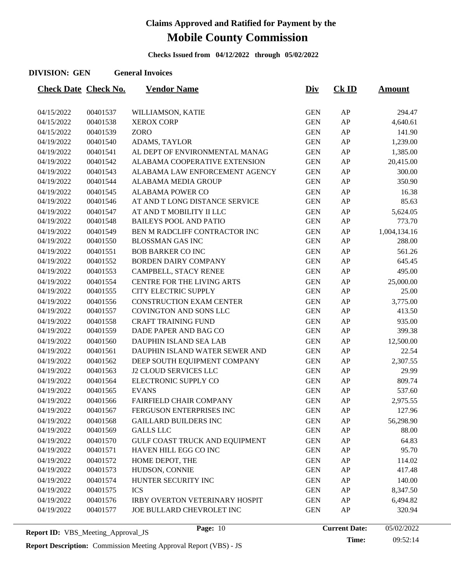**Checks Issued from 04/12/2022 through 05/02/2022**

#### **DIVISION: GEN General Invoices**

| <b>Check Date Check No.</b> |                      | <u>Vendor Name</u>                     | <u>Div</u> | $CK$ ID    | <b>Amount</b> |
|-----------------------------|----------------------|----------------------------------------|------------|------------|---------------|
|                             |                      |                                        |            |            |               |
| 04/15/2022                  | 00401537<br>00401538 | WILLIAMSON, KATIE<br><b>XEROX CORP</b> | <b>GEN</b> | ${\sf AP}$ | 294.47        |
| 04/15/2022                  |                      |                                        | <b>GEN</b> | AP         | 4,640.61      |
| 04/15/2022                  | 00401539             | ZORO                                   | <b>GEN</b> | AP         | 141.90        |
| 04/19/2022                  | 00401540             | ADAMS, TAYLOR                          | <b>GEN</b> | AP         | 1,239.00      |
| 04/19/2022                  | 00401541             | AL DEPT OF ENVIRONMENTAL MANAG         | <b>GEN</b> | AP         | 1,385.00      |
| 04/19/2022                  | 00401542             | ALABAMA COOPERATIVE EXTENSION          | <b>GEN</b> | ${\sf AP}$ | 20,415.00     |
| 04/19/2022                  | 00401543             | ALABAMA LAW ENFORCEMENT AGENCY         | <b>GEN</b> | AP         | 300.00        |
| 04/19/2022                  | 00401544             | ALABAMA MEDIA GROUP                    | <b>GEN</b> | AP         | 350.90        |
| 04/19/2022                  | 00401545             | <b>ALABAMA POWER CO</b>                | <b>GEN</b> | AP         | 16.38         |
| 04/19/2022                  | 00401546             | AT AND T LONG DISTANCE SERVICE         | <b>GEN</b> | ${\sf AP}$ | 85.63         |
| 04/19/2022                  | 00401547             | AT AND T MOBILITY II LLC               | <b>GEN</b> | AP         | 5,624.05      |
| 04/19/2022                  | 00401548             | <b>BAILEYS POOL AND PATIO</b>          | <b>GEN</b> | AP         | 773.70        |
| 04/19/2022                  | 00401549             | BEN M RADCLIFF CONTRACTOR INC          | <b>GEN</b> | ${\sf AP}$ | 1,004,134.16  |
| 04/19/2022                  | 00401550             | <b>BLOSSMAN GAS INC</b>                | <b>GEN</b> | ${\sf AP}$ | 288.00        |
| 04/19/2022                  | 00401551             | <b>BOB BARKER CO INC</b>               | <b>GEN</b> | AP         | 561.26        |
| 04/19/2022                  | 00401552             | <b>BORDEN DAIRY COMPANY</b>            | <b>GEN</b> | AP         | 645.45        |
| 04/19/2022                  | 00401553             | CAMPBELL, STACY RENEE                  | <b>GEN</b> | AP         | 495.00        |
| 04/19/2022                  | 00401554             | CENTRE FOR THE LIVING ARTS             | <b>GEN</b> | AP         | 25,000.00     |
| 04/19/2022                  | 00401555             | <b>CITY ELECTRIC SUPPLY</b>            | <b>GEN</b> | AP         | 25.00         |
| 04/19/2022                  | 00401556             | <b>CONSTRUCTION EXAM CENTER</b>        | <b>GEN</b> | AP         | 3,775.00      |
| 04/19/2022                  | 00401557             | COVINGTON AND SONS LLC                 | <b>GEN</b> | ${\sf AP}$ | 413.50        |
| 04/19/2022                  | 00401558             | <b>CRAFT TRAINING FUND</b>             | <b>GEN</b> | AP         | 935.00        |
| 04/19/2022                  | 00401559             | DADE PAPER AND BAG CO                  | <b>GEN</b> | AP         | 399.38        |
| 04/19/2022                  | 00401560             | DAUPHIN ISLAND SEA LAB                 | <b>GEN</b> | AP         | 12,500.00     |
| 04/19/2022                  | 00401561             | DAUPHIN ISLAND WATER SEWER AND         | <b>GEN</b> | AP         | 22.54         |
| 04/19/2022                  | 00401562             | DEEP SOUTH EQUIPMENT COMPANY           | <b>GEN</b> | ${\sf AP}$ | 2,307.55      |
| 04/19/2022                  | 00401563             | <b>J2 CLOUD SERVICES LLC</b>           | <b>GEN</b> | ${\sf AP}$ | 29.99         |
| 04/19/2022                  | 00401564             | ELECTRONIC SUPPLY CO                   | <b>GEN</b> | AP         | 809.74        |
| 04/19/2022                  | 00401565             | <b>EVANS</b>                           | <b>GEN</b> | ${\sf AP}$ | 537.60        |
| 04/19/2022                  | 00401566             | FAIRFIELD CHAIR COMPANY                | <b>GEN</b> | AP         | 2,975.55      |
| 04/19/2022                  | 00401567             | FERGUSON ENTERPRISES INC               | <b>GEN</b> | AP         | 127.96        |
| 04/19/2022                  | 00401568             | <b>GAILLARD BUILDERS INC</b>           | <b>GEN</b> | AP         | 56,298.90     |
| 04/19/2022                  | 00401569             | <b>GALLS LLC</b>                       | <b>GEN</b> | ${\sf AP}$ | 88.00         |
| 04/19/2022                  | 00401570             | GULF COAST TRUCK AND EQUIPMENT         | <b>GEN</b> | AP         | 64.83         |
| 04/19/2022                  | 00401571             | HAVEN HILL EGG CO INC                  | <b>GEN</b> | AP         | 95.70         |
| 04/19/2022                  | 00401572             | HOME DEPOT, THE                        | <b>GEN</b> | AP         | 114.02        |
| 04/19/2022                  | 00401573             | HUDSON, CONNIE                         | <b>GEN</b> | ${\sf AP}$ | 417.48        |
| 04/19/2022                  | 00401574             | HUNTER SECURITY INC                    | <b>GEN</b> | AP         | 140.00        |
| 04/19/2022                  | 00401575             | <b>ICS</b>                             | <b>GEN</b> | AP         | 8,347.50      |
| 04/19/2022                  | 00401576             | <b>IRBY OVERTON VETERINARY HOSPIT</b>  | <b>GEN</b> | AP         | 6,494.82      |
| 04/19/2022                  | 00401577             | JOE BULLARD CHEVROLET INC              | <b>GEN</b> | ${\sf AP}$ | 320.94        |
|                             |                      |                                        |            |            |               |

**Report Description:** Commission Meeting Approval Report (VBS) - JS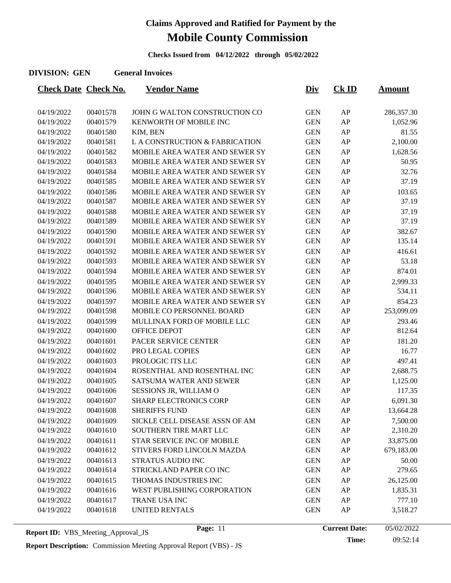**Checks Issued from 04/12/2022 through 05/02/2022**

#### **DIVISION: GEN General Invoices**

| <b>Check Date Check No.</b> |          | <b>Vendor Name</b>                    | <u>Div</u> | $CK$ ID    | <u>Amount</u> |
|-----------------------------|----------|---------------------------------------|------------|------------|---------------|
|                             |          |                                       |            |            |               |
| 04/19/2022                  | 00401578 | JOHN G WALTON CONSTRUCTION CO         | <b>GEN</b> | AP         | 286,357.30    |
| 04/19/2022                  | 00401579 | KENWORTH OF MOBILE INC                | <b>GEN</b> | AP         | 1,052.96      |
| 04/19/2022                  | 00401580 | KIM, BEN                              | <b>GEN</b> | AP         | 81.55         |
| 04/19/2022                  | 00401581 | L A CONSTRUCTION & FABRICATION        | <b>GEN</b> | ${\sf AP}$ | 2,100.00      |
| 04/19/2022                  | 00401582 | MOBILE AREA WATER AND SEWER SY        | <b>GEN</b> | AP         | 1,628.56      |
| 04/19/2022                  | 00401583 | MOBILE AREA WATER AND SEWER SY        | <b>GEN</b> | AP         | 50.95         |
| 04/19/2022                  | 00401584 | MOBILE AREA WATER AND SEWER SY        | <b>GEN</b> | AP         | 32.76         |
| 04/19/2022                  | 00401585 | MOBILE AREA WATER AND SEWER SY        | <b>GEN</b> | ${\sf AP}$ | 37.19         |
| 04/19/2022                  | 00401586 | MOBILE AREA WATER AND SEWER SY        | <b>GEN</b> | AP         | 103.65        |
| 04/19/2022                  | 00401587 | MOBILE AREA WATER AND SEWER SY        | <b>GEN</b> | AP         | 37.19         |
| 04/19/2022                  | 00401588 | MOBILE AREA WATER AND SEWER SY        | <b>GEN</b> | AP         | 37.19         |
| 04/19/2022                  | 00401589 | MOBILE AREA WATER AND SEWER SY        | <b>GEN</b> | ${\sf AP}$ | 37.19         |
| 04/19/2022                  | 00401590 | MOBILE AREA WATER AND SEWER SY        | <b>GEN</b> | AP         | 382.67        |
| 04/19/2022                  | 00401591 | MOBILE AREA WATER AND SEWER SY        | <b>GEN</b> | AP         | 135.14        |
| 04/19/2022                  | 00401592 | <b>MOBILE AREA WATER AND SEWER SY</b> | <b>GEN</b> | AP         | 416.61        |
| 04/19/2022                  | 00401593 | <b>MOBILE AREA WATER AND SEWER SY</b> | <b>GEN</b> | AP         | 53.18         |
| 04/19/2022                  | 00401594 | MOBILE AREA WATER AND SEWER SY        | <b>GEN</b> | AP         | 874.01        |
| 04/19/2022                  | 00401595 | MOBILE AREA WATER AND SEWER SY        | <b>GEN</b> | ${\sf AP}$ | 2,999.33      |
| 04/19/2022                  | 00401596 | MOBILE AREA WATER AND SEWER SY        | <b>GEN</b> | AP         | 534.11        |
| 04/19/2022                  | 00401597 | MOBILE AREA WATER AND SEWER SY        | <b>GEN</b> | AP         | 854.23        |
| 04/19/2022                  | 00401598 | MOBILE CO PERSONNEL BOARD             | <b>GEN</b> | AP         | 253,099.09    |
| 04/19/2022                  | 00401599 | MULLINAX FORD OF MOBILE LLC           | <b>GEN</b> | ${\sf AP}$ | 293.46        |
| 04/19/2022                  | 00401600 | OFFICE DEPOT                          | <b>GEN</b> | AP         | 812.64        |
| 04/19/2022                  | 00401601 | PACER SERVICE CENTER                  | <b>GEN</b> | AP         | 181.20        |
| 04/19/2022                  | 00401602 | PRO LEGAL COPIES                      | <b>GEN</b> | AP         | 16.77         |
| 04/19/2022                  | 00401603 | PROLOGIC ITS LLC                      | <b>GEN</b> | AP         | 497.41        |
| 04/19/2022                  | 00401604 | ROSENTHAL AND ROSENTHAL INC           | <b>GEN</b> | AP         | 2,688.75      |
| 04/19/2022                  | 00401605 | <b>SATSUMA WATER AND SEWER</b>        | <b>GEN</b> | AP         | 1,125.00      |
| 04/19/2022                  | 00401606 | SESSIONS JR, WILLIAM O                | <b>GEN</b> | AP         | 117.35        |
| 04/19/2022                  | 00401607 | <b>SHARP ELECTRONICS CORP</b>         | <b>GEN</b> | AP         | 6,091.30      |
| 04/19/2022                  | 00401608 | <b>SHERIFFS FUND</b>                  | <b>GEN</b> | AP         | 13,664.28     |
| 04/19/2022                  | 00401609 | SICKLE CELL DISEASE ASSN OF AM        | <b>GEN</b> | AP         | 7,500.00      |
| 04/19/2022                  | 00401610 | SOUTHERN TIRE MART LLC                | <b>GEN</b> | AP         | 2,310.20      |
| 04/19/2022                  | 00401611 | STAR SERVICE INC OF MOBILE            | <b>GEN</b> | AP         | 33,875.00     |
| 04/19/2022                  | 00401612 | STIVERS FORD LINCOLN MAZDA            | <b>GEN</b> | AP         | 679,183.00    |
| 04/19/2022                  | 00401613 | STRATUS AUDIO INC                     | <b>GEN</b> | AP         | 50.00         |
| 04/19/2022                  | 00401614 | STRICKLAND PAPER CO INC               | <b>GEN</b> | AP         | 279.65        |
| 04/19/2022                  | 00401615 | THOMAS INDUSTRIES INC                 | <b>GEN</b> | AP         | 26,125.00     |
| 04/19/2022                  | 00401616 | WEST PUBLISHING CORPORATION           | <b>GEN</b> | AP         | 1,835.31      |
| 04/19/2022                  | 00401617 | TRANE USA INC                         | <b>GEN</b> | AP         | 777.10        |
| 04/19/2022                  | 00401618 | <b>UNITED RENTALS</b>                 | <b>GEN</b> | AP         | 3,518.27      |
|                             |          |                                       |            |            |               |

**Time:** 09:52:14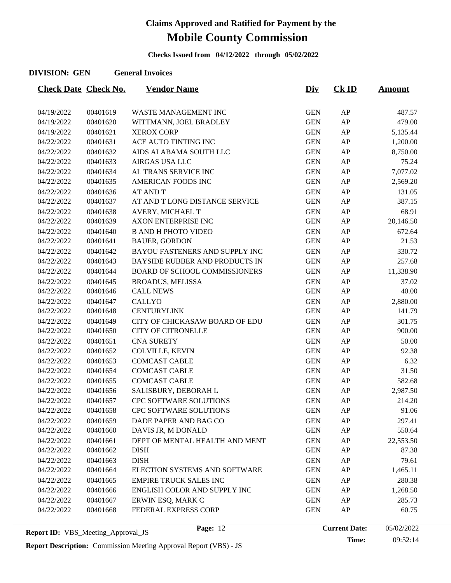**Checks Issued from 04/12/2022 through 05/02/2022**

#### **DIVISION: GEN General Invoices**

| <b>Check Date Check No.</b> |          | <b>Vendor Name</b>                    | <u>Div</u> | $CK$ ID | <u>Amount</u> |
|-----------------------------|----------|---------------------------------------|------------|---------|---------------|
|                             |          |                                       |            |         |               |
| 04/19/2022                  | 00401619 | WASTE MANAGEMENT INC                  | <b>GEN</b> | AP      | 487.57        |
| 04/19/2022                  | 00401620 | WITTMANN, JOEL BRADLEY                | <b>GEN</b> | AP      | 479.00        |
| 04/19/2022                  | 00401621 | <b>XEROX CORP</b>                     | <b>GEN</b> | AP      | 5,135.44      |
| 04/22/2022                  | 00401631 | ACE AUTO TINTING INC                  | <b>GEN</b> | AP      | 1,200.00      |
| 04/22/2022                  | 00401632 | AIDS ALABAMA SOUTH LLC                | <b>GEN</b> | AP      | 8,750.00      |
| 04/22/2022                  | 00401633 | <b>AIRGAS USA LLC</b>                 | <b>GEN</b> | AP      | 75.24         |
| 04/22/2022                  | 00401634 | AL TRANS SERVICE INC                  | <b>GEN</b> | AP      | 7,077.02      |
| 04/22/2022                  | 00401635 | AMERICAN FOODS INC                    | <b>GEN</b> | AP      | 2,569.20      |
| 04/22/2022                  | 00401636 | <b>AT AND T</b>                       | <b>GEN</b> | AP      | 131.05        |
| 04/22/2022                  | 00401637 | AT AND T LONG DISTANCE SERVICE        | <b>GEN</b> | AP      | 387.15        |
| 04/22/2022                  | 00401638 | AVERY, MICHAEL T                      | <b>GEN</b> | AP      | 68.91         |
| 04/22/2022                  | 00401639 | <b>AXON ENTERPRISE INC</b>            | <b>GEN</b> | AP      | 20,146.50     |
| 04/22/2022                  | 00401640 | <b>B AND H PHOTO VIDEO</b>            | <b>GEN</b> | AP      | 672.64        |
| 04/22/2022                  | 00401641 | <b>BAUER, GORDON</b>                  | <b>GEN</b> | AP      | 21.53         |
| 04/22/2022                  | 00401642 | BAYOU FASTENERS AND SUPPLY INC        | <b>GEN</b> | AP      | 330.72        |
| 04/22/2022                  | 00401643 | <b>BAYSIDE RUBBER AND PRODUCTS IN</b> | <b>GEN</b> | AP      | 257.68        |
| 04/22/2022                  | 00401644 | <b>BOARD OF SCHOOL COMMISSIONERS</b>  | <b>GEN</b> | AP      | 11,338.90     |
| 04/22/2022                  | 00401645 | <b>BROADUS, MELISSA</b>               | <b>GEN</b> | AP      | 37.02         |
| 04/22/2022                  | 00401646 | <b>CALL NEWS</b>                      | <b>GEN</b> | AP      | 40.00         |
| 04/22/2022                  | 00401647 | <b>CALLYO</b>                         | <b>GEN</b> | AP      | 2,880.00      |
| 04/22/2022                  | 00401648 | <b>CENTURYLINK</b>                    | <b>GEN</b> | AP      | 141.79        |
| 04/22/2022                  | 00401649 | CITY OF CHICKASAW BOARD OF EDU        | <b>GEN</b> | AP      | 301.75        |
| 04/22/2022                  | 00401650 | <b>CITY OF CITRONELLE</b>             | <b>GEN</b> | AP      | 900.00        |
| 04/22/2022                  | 00401651 | <b>CNA SURETY</b>                     | <b>GEN</b> | AP      | 50.00         |
| 04/22/2022                  | 00401652 | COLVILLE, KEVIN                       | <b>GEN</b> | AP      | 92.38         |
| 04/22/2022                  | 00401653 | <b>COMCAST CABLE</b>                  | <b>GEN</b> | AP      | 6.32          |
| 04/22/2022                  | 00401654 | <b>COMCAST CABLE</b>                  | <b>GEN</b> | AP      | 31.50         |
| 04/22/2022                  | 00401655 | <b>COMCAST CABLE</b>                  | <b>GEN</b> | AP      | 582.68        |
| 04/22/2022                  | 00401656 | SALISBURY, DEBORAH L                  | <b>GEN</b> | AP      | 2,987.50      |
| 04/22/2022                  | 00401657 | CPC SOFTWARE SOLUTIONS                | <b>GEN</b> | AP      | 214.20        |
| 04/22/2022                  | 00401658 | CPC SOFTWARE SOLUTIONS                | <b>GEN</b> | AP      | 91.06         |
| 04/22/2022                  | 00401659 | DADE PAPER AND BAG CO                 | <b>GEN</b> | AP      | 297.41        |
| 04/22/2022                  | 00401660 | DAVIS JR, M DONALD                    | <b>GEN</b> | AP      | 550.64        |
| 04/22/2022                  | 00401661 | DEPT OF MENTAL HEALTH AND MENT        | <b>GEN</b> | AP      | 22,553.50     |
| 04/22/2022                  | 00401662 | <b>DISH</b>                           | <b>GEN</b> | AP      | 87.38         |
| 04/22/2022                  | 00401663 | <b>DISH</b>                           | <b>GEN</b> | AP      | 79.61         |
| 04/22/2022                  | 00401664 | ELECTION SYSTEMS AND SOFTWARE         | <b>GEN</b> | AP      | 1,465.11      |
| 04/22/2022                  | 00401665 | <b>EMPIRE TRUCK SALES INC</b>         | <b>GEN</b> | AP      | 280.38        |
| 04/22/2022                  | 00401666 | ENGLISH COLOR AND SUPPLY INC          | <b>GEN</b> | AP      | 1,268.50      |
| 04/22/2022                  | 00401667 | ERWIN ESQ, MARK C                     | <b>GEN</b> | AP      | 285.73        |
| 04/22/2022                  | 00401668 | FEDERAL EXPRESS CORP                  | <b>GEN</b> | AP      | 60.75         |
|                             |          |                                       |            |         |               |

**Time:** 09:52:14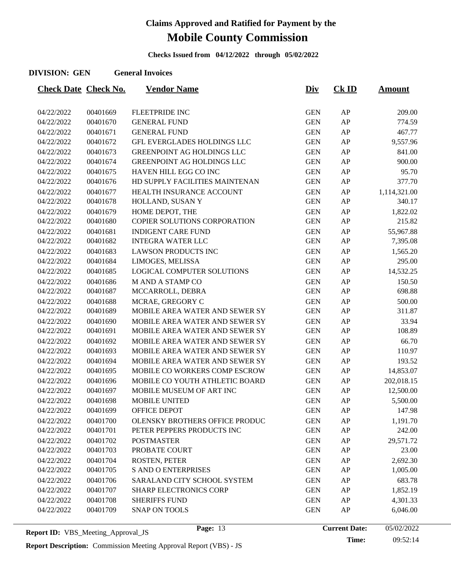**Checks Issued from 04/12/2022 through 05/02/2022**

#### **DIVISION: GEN General Invoices**

| <b>Check Date Check No.</b> |          | <b>Vendor Name</b>                 | <u>Div</u> | $CK$ ID | <b>Amount</b> |
|-----------------------------|----------|------------------------------------|------------|---------|---------------|
|                             |          |                                    |            |         |               |
| 04/22/2022                  | 00401669 | FLEETPRIDE INC                     | <b>GEN</b> | AP      | 209.00        |
| 04/22/2022                  | 00401670 | <b>GENERAL FUND</b>                | <b>GEN</b> | AP      | 774.59        |
| 04/22/2022                  | 00401671 | <b>GENERAL FUND</b>                | <b>GEN</b> | AP      | 467.77        |
| 04/22/2022                  | 00401672 | <b>GFL EVERGLADES HOLDINGS LLC</b> | <b>GEN</b> | AP      | 9,557.96      |
| 04/22/2022                  | 00401673 | <b>GREENPOINT AG HOLDINGS LLC</b>  | <b>GEN</b> | AP      | 841.00        |
| 04/22/2022                  | 00401674 | <b>GREENPOINT AG HOLDINGS LLC</b>  | <b>GEN</b> | AP      | 900.00        |
| 04/22/2022                  | 00401675 | HAVEN HILL EGG CO INC              | <b>GEN</b> | AP      | 95.70         |
| 04/22/2022                  | 00401676 | HD SUPPLY FACILITIES MAINTENAN     | <b>GEN</b> | AP      | 377.70        |
| 04/22/2022                  | 00401677 | HEALTH INSURANCE ACCOUNT           | <b>GEN</b> | AP      | 1,114,321.00  |
| 04/22/2022                  | 00401678 | HOLLAND, SUSAN Y                   | <b>GEN</b> | AP      | 340.17        |
| 04/22/2022                  | 00401679 | HOME DEPOT, THE                    | <b>GEN</b> | AP      | 1,822.02      |
| 04/22/2022                  | 00401680 | COPIER SOLUTIONS CORPORATION       | <b>GEN</b> | AP      | 215.82        |
| 04/22/2022                  | 00401681 | <b>INDIGENT CARE FUND</b>          | <b>GEN</b> | AP      | 55,967.88     |
| 04/22/2022                  | 00401682 | <b>INTEGRA WATER LLC</b>           | <b>GEN</b> | AP      | 7,395.08      |
| 04/22/2022                  | 00401683 | <b>LAWSON PRODUCTS INC</b>         | <b>GEN</b> | AP      | 1,565.20      |
| 04/22/2022                  | 00401684 | LIMOGES, MELISSA                   | <b>GEN</b> | AP      | 295.00        |
| 04/22/2022                  | 00401685 | LOGICAL COMPUTER SOLUTIONS         | <b>GEN</b> | AP      | 14,532.25     |
| 04/22/2022                  | 00401686 | M AND A STAMP CO                   | <b>GEN</b> | AP      | 150.50        |
| 04/22/2022                  | 00401687 | MCCARROLL, DEBRA                   | <b>GEN</b> | AP      | 698.88        |
| 04/22/2022                  | 00401688 | MCRAE, GREGORY C                   | <b>GEN</b> | AP      | 500.00        |
| 04/22/2022                  | 00401689 | MOBILE AREA WATER AND SEWER SY     | <b>GEN</b> | AP      | 311.87        |
| 04/22/2022                  | 00401690 | MOBILE AREA WATER AND SEWER SY     | <b>GEN</b> | AP      | 33.94         |
| 04/22/2022                  | 00401691 | MOBILE AREA WATER AND SEWER SY     | <b>GEN</b> | AP      | 108.89        |
| 04/22/2022                  | 00401692 | MOBILE AREA WATER AND SEWER SY     | <b>GEN</b> | AP      | 66.70         |
| 04/22/2022                  | 00401693 | MOBILE AREA WATER AND SEWER SY     | <b>GEN</b> | AP      | 110.97        |
| 04/22/2022                  | 00401694 | MOBILE AREA WATER AND SEWER SY     | <b>GEN</b> | AP      | 193.52        |
| 04/22/2022                  | 00401695 | MOBILE CO WORKERS COMP ESCROW      | <b>GEN</b> | AP      | 14,853.07     |
| 04/22/2022                  | 00401696 | MOBILE CO YOUTH ATHLETIC BOARD     | <b>GEN</b> | AP      | 202,018.15    |
| 04/22/2022                  | 00401697 | MOBILE MUSEUM OF ART INC           | <b>GEN</b> | AP      | 12,500.00     |
| 04/22/2022                  | 00401698 | <b>MOBILE UNITED</b>               | <b>GEN</b> | AP      | 5,500.00      |
| 04/22/2022                  | 00401699 | <b>OFFICE DEPOT</b>                | <b>GEN</b> | AP      | 147.98        |
| 04/22/2022                  | 00401700 | OLENSKY BROTHERS OFFICE PRODUC     | <b>GEN</b> | AP      | 1,191.70      |
| 04/22/2022                  | 00401701 | PETER PEPPERS PRODUCTS INC         | <b>GEN</b> | AP      | 242.00        |
| 04/22/2022                  | 00401702 | <b>POSTMASTER</b>                  | <b>GEN</b> | AP      | 29,571.72     |
| 04/22/2022                  | 00401703 | PROBATE COURT                      | <b>GEN</b> | AP      | 23.00         |
| 04/22/2022                  | 00401704 | <b>ROSTEN, PETER</b>               | <b>GEN</b> | AP      | 2,692.30      |
| 04/22/2022                  | 00401705 | S AND O ENTERPRISES                | <b>GEN</b> | AP      | 1,005.00      |
| 04/22/2022                  | 00401706 | SARALAND CITY SCHOOL SYSTEM        | <b>GEN</b> | AP      | 683.78        |
| 04/22/2022                  | 00401707 | <b>SHARP ELECTRONICS CORP</b>      | <b>GEN</b> | AP      | 1,852.19      |
| 04/22/2022                  | 00401708 | <b>SHERIFFS FUND</b>               | <b>GEN</b> | AP      | 4,301.33      |
| 04/22/2022                  | 00401709 | <b>SNAP ON TOOLS</b>               | <b>GEN</b> | AP      | 6,046.00      |
|                             |          |                                    |            |         |               |

**Time:** 09:52:14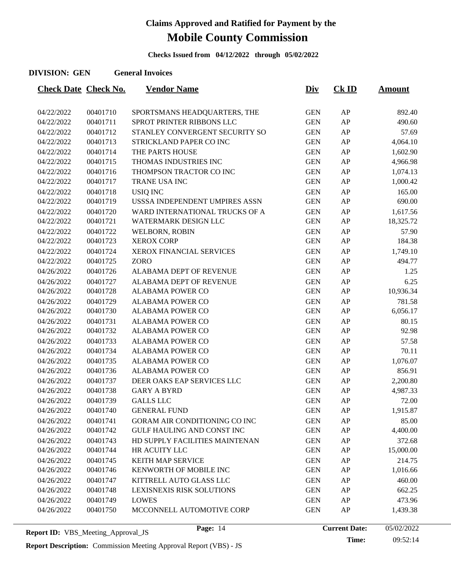**Checks Issued from 04/12/2022 through 05/02/2022**

#### **DIVISION: GEN General Invoices**

| <b>Check Date Check No.</b> |          | <b>Vendor Name</b>                | <u>Div</u> | $CK$ ID    | <b>Amount</b> |
|-----------------------------|----------|-----------------------------------|------------|------------|---------------|
|                             |          |                                   |            |            |               |
| 04/22/2022                  | 00401710 | SPORTSMANS HEADQUARTERS, THE      | <b>GEN</b> | AP         | 892.40        |
| 04/22/2022                  | 00401711 | SPROT PRINTER RIBBONS LLC         | <b>GEN</b> | AP         | 490.60        |
| 04/22/2022                  | 00401712 | STANLEY CONVERGENT SECURITY SO    | <b>GEN</b> | AP         | 57.69         |
| 04/22/2022                  | 00401713 | STRICKLAND PAPER CO INC           | <b>GEN</b> | AP         | 4,064.10      |
| 04/22/2022                  | 00401714 | THE PARTS HOUSE                   | <b>GEN</b> | AP         | 1,602.90      |
| 04/22/2022                  | 00401715 | THOMAS INDUSTRIES INC             | <b>GEN</b> | AP         | 4,966.98      |
| 04/22/2022                  | 00401716 | THOMPSON TRACTOR CO INC           | <b>GEN</b> | AP         | 1,074.13      |
| 04/22/2022                  | 00401717 | TRANE USA INC                     | <b>GEN</b> | AP         | 1,000.42      |
| 04/22/2022                  | 00401718 | <b>USIQ INC</b>                   | <b>GEN</b> | AP         | 165.00        |
| 04/22/2022                  | 00401719 | USSSA INDEPENDENT UMPIRES ASSN    | <b>GEN</b> | AP         | 690.00        |
| 04/22/2022                  | 00401720 | WARD INTERNATIONAL TRUCKS OF A    | <b>GEN</b> | AP         | 1,617.56      |
| 04/22/2022                  | 00401721 | WATERMARK DESIGN LLC              | <b>GEN</b> | AP         | 18,325.72     |
| 04/22/2022                  | 00401722 | WELBORN, ROBIN                    | <b>GEN</b> | AP         | 57.90         |
| 04/22/2022                  | 00401723 | <b>XEROX CORP</b>                 | <b>GEN</b> | AP         | 184.38        |
| 04/22/2022                  | 00401724 | XEROX FINANCIAL SERVICES          | <b>GEN</b> | AP         | 1,749.10      |
| 04/22/2022                  | 00401725 | <b>ZORO</b>                       | <b>GEN</b> | AP         | 494.77        |
| 04/26/2022                  | 00401726 | ALABAMA DEPT OF REVENUE           | <b>GEN</b> | AP         | 1.25          |
| 04/26/2022                  | 00401727 | <b>ALABAMA DEPT OF REVENUE</b>    | <b>GEN</b> | AP         | 6.25          |
| 04/26/2022                  | 00401728 | <b>ALABAMA POWER CO</b>           | <b>GEN</b> | AP         | 10,936.34     |
| 04/26/2022                  | 00401729 | <b>ALABAMA POWER CO</b>           | <b>GEN</b> | AP         | 781.58        |
| 04/26/2022                  | 00401730 | <b>ALABAMA POWER CO</b>           | <b>GEN</b> | AP         | 6,056.17      |
| 04/26/2022                  | 00401731 | <b>ALABAMA POWER CO</b>           | <b>GEN</b> | AP         | 80.15         |
| 04/26/2022                  | 00401732 | <b>ALABAMA POWER CO</b>           | <b>GEN</b> | AP         | 92.98         |
| 04/26/2022                  | 00401733 | <b>ALABAMA POWER CO</b>           | <b>GEN</b> | AP         | 57.58         |
| 04/26/2022                  | 00401734 | <b>ALABAMA POWER CO</b>           | <b>GEN</b> | AP         | 70.11         |
| 04/26/2022                  | 00401735 | <b>ALABAMA POWER CO</b>           | <b>GEN</b> | AP         | 1,076.07      |
| 04/26/2022                  | 00401736 | <b>ALABAMA POWER CO</b>           | <b>GEN</b> | AP         | 856.91        |
| 04/26/2022                  | 00401737 | DEER OAKS EAP SERVICES LLC        | <b>GEN</b> | AP         | 2,200.80      |
| 04/26/2022                  | 00401738 | <b>GARY A BYRD</b>                | <b>GEN</b> | AP         | 4,987.33      |
| 04/26/2022                  | 00401739 | <b>GALLS LLC</b>                  | <b>GEN</b> | AP         | 72.00         |
| 04/26/2022                  | 00401740 | <b>GENERAL FUND</b>               | <b>GEN</b> | AP         | 1,915.87      |
| 04/26/2022                  | 00401741 | GORAM AIR CONDITIONING CO INC     | <b>GEN</b> | AP         | 85.00         |
| 04/26/2022                  | 00401742 | <b>GULF HAULING AND CONST INC</b> | <b>GEN</b> | ${\sf AP}$ | 4,400.00      |
| 04/26/2022                  | 00401743 | HD SUPPLY FACILITIES MAINTENAN    | <b>GEN</b> | AP         | 372.68        |
| 04/26/2022                  | 00401744 | HR ACUITY LLC                     | <b>GEN</b> | AP         | 15,000.00     |
| 04/26/2022                  | 00401745 | <b>KEITH MAP SERVICE</b>          | <b>GEN</b> | AP         | 214.75        |
| 04/26/2022                  | 00401746 | KENWORTH OF MOBILE INC            | <b>GEN</b> | AP         | 1,016.66      |
| 04/26/2022                  | 00401747 | KITTRELL AUTO GLASS LLC           | <b>GEN</b> | AP         | 460.00        |
| 04/26/2022                  | 00401748 | LEXISNEXIS RISK SOLUTIONS         | <b>GEN</b> | AP         | 662.25        |
| 04/26/2022                  | 00401749 | <b>LOWES</b>                      | <b>GEN</b> | AP         | 473.96        |
| 04/26/2022                  | 00401750 | MCCONNELL AUTOMOTIVE CORP         | <b>GEN</b> | AP         | 1,439.38      |
|                             |          |                                   |            |            |               |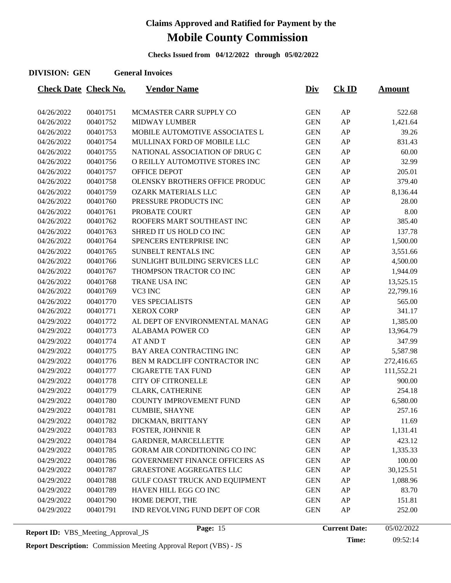**Checks Issued from 04/12/2022 through 05/02/2022**

#### **DIVISION: GEN General Invoices**

| <b>Check Date Check No.</b> |          | <b>Vendor Name</b>                    | <u>Div</u> | $CK$ ID | <b>Amount</b> |
|-----------------------------|----------|---------------------------------------|------------|---------|---------------|
|                             |          |                                       |            |         |               |
| 04/26/2022                  | 00401751 | MCMASTER CARR SUPPLY CO               | <b>GEN</b> | AP      | 522.68        |
| 04/26/2022                  | 00401752 | <b>MIDWAY LUMBER</b>                  | <b>GEN</b> | AP      | 1,421.64      |
| 04/26/2022                  | 00401753 | MOBILE AUTOMOTIVE ASSOCIATES L        | <b>GEN</b> | AP      | 39.26         |
| 04/26/2022                  | 00401754 | MULLINAX FORD OF MOBILE LLC           | <b>GEN</b> | AP      | 831.43        |
| 04/26/2022                  | 00401755 | NATIONAL ASSOCIATION OF DRUG C        | <b>GEN</b> | AP      | 60.00         |
| 04/26/2022                  | 00401756 | O REILLY AUTOMOTIVE STORES INC        | <b>GEN</b> | AP      | 32.99         |
| 04/26/2022                  | 00401757 | <b>OFFICE DEPOT</b>                   | <b>GEN</b> | AP      | 205.01        |
| 04/26/2022                  | 00401758 | OLENSKY BROTHERS OFFICE PRODUC        | <b>GEN</b> | AP      | 379.40        |
| 04/26/2022                  | 00401759 | <b>OZARK MATERIALS LLC</b>            | <b>GEN</b> | AP      | 8,136.44      |
| 04/26/2022                  | 00401760 | PRESSURE PRODUCTS INC                 | <b>GEN</b> | AP      | 28.00         |
| 04/26/2022                  | 00401761 | PROBATE COURT                         | <b>GEN</b> | AP      | 8.00          |
| 04/26/2022                  | 00401762 | ROOFERS MART SOUTHEAST INC            | <b>GEN</b> | AP      | 385.40        |
| 04/26/2022                  | 00401763 | SHRED IT US HOLD CO INC               | <b>GEN</b> | AP      | 137.78        |
| 04/26/2022                  | 00401764 | SPENCERS ENTERPRISE INC               | <b>GEN</b> | AP      | 1,500.00      |
| 04/26/2022                  | 00401765 | SUNBELT RENTALS INC                   | <b>GEN</b> | AP      | 3,551.66      |
| 04/26/2022                  | 00401766 | SUNLIGHT BUILDING SERVICES LLC        | <b>GEN</b> | AP      | 4,500.00      |
| 04/26/2022                  | 00401767 | THOMPSON TRACTOR CO INC               | <b>GEN</b> | AP      | 1,944.09      |
| 04/26/2022                  | 00401768 | TRANE USA INC                         | <b>GEN</b> | AP      | 13,525.15     |
| 04/26/2022                  | 00401769 | VC3 INC                               | <b>GEN</b> | AP      | 22,799.16     |
| 04/26/2022                  | 00401770 | <b>VES SPECIALISTS</b>                | <b>GEN</b> | AP      | 565.00        |
| 04/26/2022                  | 00401771 | <b>XEROX CORP</b>                     | <b>GEN</b> | AP      | 341.17        |
| 04/29/2022                  | 00401772 | AL DEPT OF ENVIRONMENTAL MANAG        | <b>GEN</b> | AP      | 1,385.00      |
| 04/29/2022                  | 00401773 | <b>ALABAMA POWER CO</b>               | <b>GEN</b> | AP      | 13,964.79     |
| 04/29/2022                  | 00401774 | <b>AT AND T</b>                       | <b>GEN</b> | AP      | 347.99        |
| 04/29/2022                  | 00401775 | BAY AREA CONTRACTING INC              | <b>GEN</b> | AP      | 5,587.98      |
| 04/29/2022                  | 00401776 | BEN M RADCLIFF CONTRACTOR INC         | <b>GEN</b> | AP      | 272,416.65    |
| 04/29/2022                  | 00401777 | <b>CIGARETTE TAX FUND</b>             | <b>GEN</b> | AP      | 111,552.21    |
| 04/29/2022                  | 00401778 | <b>CITY OF CITRONELLE</b>             | <b>GEN</b> | AP      | 900.00        |
| 04/29/2022                  | 00401779 | CLARK, CATHERINE                      | <b>GEN</b> | AP      | 254.18        |
| 04/29/2022                  | 00401780 | COUNTY IMPROVEMENT FUND               | <b>GEN</b> | AP      | 6,580.00      |
| 04/29/2022                  | 00401781 | <b>CUMBIE, SHAYNE</b>                 | <b>GEN</b> | AP      | 257.16        |
| 04/29/2022                  | 00401782 | DICKMAN, BRITTANY                     | <b>GEN</b> | AP      | 11.69         |
| 04/29/2022                  | 00401783 | <b>FOSTER, JOHNNIE R</b>              | <b>GEN</b> | AP      | 1,131.41      |
| 04/29/2022                  | 00401784 | GARDNER, MARCELLETTE                  | <b>GEN</b> | AP      | 423.12        |
| 04/29/2022                  | 00401785 | GORAM AIR CONDITIONING CO INC         | <b>GEN</b> | AP      | 1,335.33      |
| 04/29/2022                  | 00401786 | <b>GOVERNMENT FINANCE OFFICERS AS</b> | <b>GEN</b> | AP      | 100.00        |
| 04/29/2022                  | 00401787 | GRAESTONE AGGREGATES LLC              | <b>GEN</b> | AP      | 30,125.51     |
| 04/29/2022                  | 00401788 | GULF COAST TRUCK AND EQUIPMENT        | <b>GEN</b> | AP      | 1,088.96      |
| 04/29/2022                  | 00401789 | HAVEN HILL EGG CO INC                 | <b>GEN</b> | AP      | 83.70         |
| 04/29/2022                  | 00401790 | HOME DEPOT, THE                       | <b>GEN</b> | AP      | 151.81        |
| 04/29/2022                  | 00401791 | IND REVOLVING FUND DEPT OF COR        | <b>GEN</b> | AP      | 252.00        |
|                             |          |                                       |            |         |               |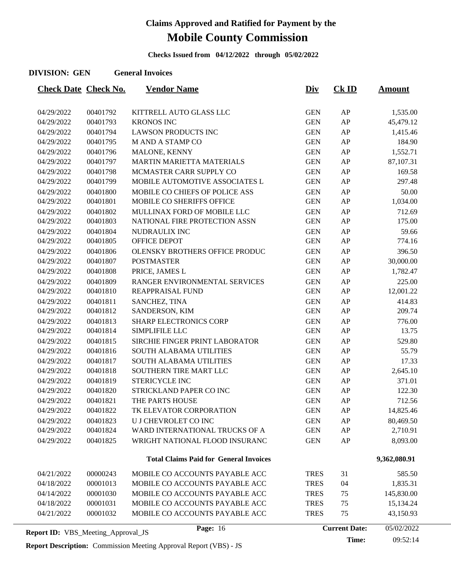**Checks Issued from 04/12/2022 through 05/02/2022**

#### **DIVISION: GEN General Invoices**

| <b>Check Date Check No.</b>               |          | <b>Vendor Name</b>                            | <u>Div</u>  | $CK$ ID              | <b>Amount</b> |
|-------------------------------------------|----------|-----------------------------------------------|-------------|----------------------|---------------|
| 04/29/2022                                | 00401792 | KITTRELL AUTO GLASS LLC                       | <b>GEN</b>  | AP                   | 1,535.00      |
| 04/29/2022                                | 00401793 | <b>KRONOS INC</b>                             | <b>GEN</b>  | AP                   | 45,479.12     |
| 04/29/2022                                | 00401794 | <b>LAWSON PRODUCTS INC</b>                    | <b>GEN</b>  | AP                   | 1,415.46      |
| 04/29/2022                                | 00401795 | M AND A STAMP CO                              | <b>GEN</b>  | AP                   | 184.90        |
| 04/29/2022                                | 00401796 | MALONE, KENNY                                 | <b>GEN</b>  | AP                   | 1,552.71      |
| 04/29/2022                                | 00401797 | <b>MARTIN MARIETTA MATERIALS</b>              | <b>GEN</b>  | AP                   | 87,107.31     |
| 04/29/2022                                | 00401798 | MCMASTER CARR SUPPLY CO                       | <b>GEN</b>  | AP                   | 169.58        |
| 04/29/2022                                | 00401799 | MOBILE AUTOMOTIVE ASSOCIATES L                | <b>GEN</b>  | AP                   | 297.48        |
| 04/29/2022                                | 00401800 | MOBILE CO CHIEFS OF POLICE ASS                | <b>GEN</b>  | AP                   | 50.00         |
| 04/29/2022                                | 00401801 | MOBILE CO SHERIFFS OFFICE                     | <b>GEN</b>  | AP                   | 1,034.00      |
| 04/29/2022                                | 00401802 | MULLINAX FORD OF MOBILE LLC                   | <b>GEN</b>  | AP                   | 712.69        |
| 04/29/2022                                | 00401803 | NATIONAL FIRE PROTECTION ASSN                 | <b>GEN</b>  | AP                   | 175.00        |
| 04/29/2022                                | 00401804 | NUDRAULIX INC                                 | <b>GEN</b>  | AP                   | 59.66         |
| 04/29/2022                                | 00401805 | OFFICE DEPOT                                  | <b>GEN</b>  | AP                   | 774.16        |
| 04/29/2022                                | 00401806 | OLENSKY BROTHERS OFFICE PRODUC                | <b>GEN</b>  | AP                   | 396.50        |
| 04/29/2022                                | 00401807 | <b>POSTMASTER</b>                             | <b>GEN</b>  | AP                   | 30,000.00     |
| 04/29/2022                                | 00401808 | PRICE, JAMES L                                | <b>GEN</b>  | AP                   | 1,782.47      |
| 04/29/2022                                | 00401809 | RANGER ENVIRONMENTAL SERVICES                 | <b>GEN</b>  | AP                   | 225.00        |
| 04/29/2022                                | 00401810 | REAPPRAISAL FUND                              | <b>GEN</b>  | AP                   | 12,001.22     |
| 04/29/2022                                | 00401811 | SANCHEZ, TINA                                 | <b>GEN</b>  | AP                   | 414.83        |
| 04/29/2022                                | 00401812 | SANDERSON, KIM                                | <b>GEN</b>  | AP                   | 209.74        |
| 04/29/2022                                | 00401813 | <b>SHARP ELECTRONICS CORP</b>                 | <b>GEN</b>  | AP                   | 776.00        |
| 04/29/2022                                | 00401814 | SIMPLIFILE LLC                                | <b>GEN</b>  | AP                   | 13.75         |
| 04/29/2022                                | 00401815 | SIRCHIE FINGER PRINT LABORATOR                | <b>GEN</b>  | AP                   | 529.80        |
| 04/29/2022                                | 00401816 | SOUTH ALABAMA UTILITIES                       | <b>GEN</b>  | AP                   | 55.79         |
| 04/29/2022                                | 00401817 | <b>SOUTH ALABAMA UTILITIES</b>                | <b>GEN</b>  | AP                   | 17.33         |
| 04/29/2022                                | 00401818 | SOUTHERN TIRE MART LLC                        | <b>GEN</b>  | AP                   | 2,645.10      |
| 04/29/2022                                | 00401819 | STERICYCLE INC                                | <b>GEN</b>  | AP                   | 371.01        |
| 04/29/2022                                | 00401820 | STRICKLAND PAPER CO INC                       | <b>GEN</b>  | AP                   | 122.30        |
| 04/29/2022                                | 00401821 | THE PARTS HOUSE                               | <b>GEN</b>  | AP                   | 712.56        |
| 04/29/2022                                | 00401822 | TK ELEVATOR CORPORATION                       | <b>GEN</b>  | AP                   | 14,825.46     |
| 04/29/2022                                | 00401823 | U J CHEVROLET CO INC                          | <b>GEN</b>  | AP                   | 80,469.50     |
| 04/29/2022                                | 00401824 | WARD INTERNATIONAL TRUCKS OF A                | <b>GEN</b>  | AP                   | 2,710.91      |
| 04/29/2022                                | 00401825 | WRIGHT NATIONAL FLOOD INSURANC                | <b>GEN</b>  | AP                   | 8,093.00      |
|                                           |          | <b>Total Claims Paid for General Invoices</b> |             |                      | 9,362,080.91  |
| 04/21/2022                                | 00000243 | MOBILE CO ACCOUNTS PAYABLE ACC                | <b>TRES</b> | 31                   | 585.50        |
| 04/18/2022                                | 00001013 | MOBILE CO ACCOUNTS PAYABLE ACC                | <b>TRES</b> | 04                   | 1,835.31      |
| 04/14/2022                                | 00001030 | MOBILE CO ACCOUNTS PAYABLE ACC                | <b>TRES</b> | 75                   | 145,830.00    |
| 04/18/2022                                | 00001031 | MOBILE CO ACCOUNTS PAYABLE ACC                | <b>TRES</b> | 75                   | 15,134.24     |
| 04/21/2022                                | 00001032 | MOBILE CO ACCOUNTS PAYABLE ACC                | <b>TRES</b> | 75                   | 43,150.93     |
| <b>Report ID: VBS_Meeting_Approval_JS</b> |          | Page: 16                                      |             | <b>Current Date:</b> | 05/02/2022    |

**Time:** 09:52:14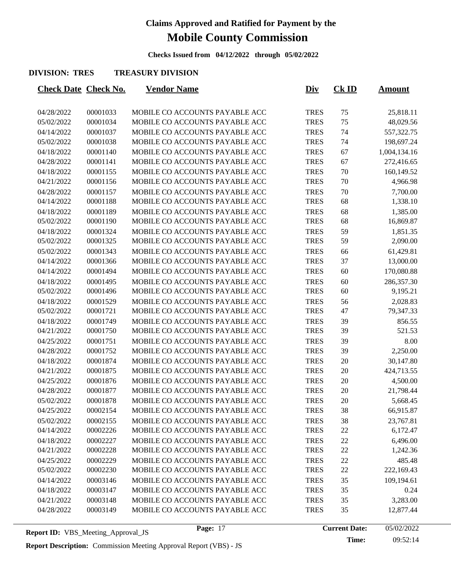**Checks Issued from 04/12/2022 through 05/02/2022**

#### **DIVISION: TRES TREASURY DIVISION**

| <b>Check Date Check No.</b> |          | <b>Vendor Name</b>             | <u>Div</u>  | $CK$ ID | <u>Amount</u> |
|-----------------------------|----------|--------------------------------|-------------|---------|---------------|
| 04/28/2022                  | 00001033 | MOBILE CO ACCOUNTS PAYABLE ACC | <b>TRES</b> | 75      | 25,818.11     |
| 05/02/2022                  | 00001034 | MOBILE CO ACCOUNTS PAYABLE ACC | <b>TRES</b> | 75      | 48,029.56     |
| 04/14/2022                  | 00001037 | MOBILE CO ACCOUNTS PAYABLE ACC | <b>TRES</b> | 74      | 557,322.75    |
| 05/02/2022                  | 00001038 | MOBILE CO ACCOUNTS PAYABLE ACC | <b>TRES</b> | 74      | 198,697.24    |
| 04/18/2022                  | 00001140 | MOBILE CO ACCOUNTS PAYABLE ACC | <b>TRES</b> | 67      | 1,004,134.16  |
| 04/28/2022                  | 00001141 | MOBILE CO ACCOUNTS PAYABLE ACC | <b>TRES</b> | 67      | 272,416.65    |
| 04/18/2022                  | 00001155 | MOBILE CO ACCOUNTS PAYABLE ACC | <b>TRES</b> | 70      | 160,149.52    |
| 04/21/2022                  | 00001156 | MOBILE CO ACCOUNTS PAYABLE ACC | <b>TRES</b> | 70      | 4,966.98      |
| 04/28/2022                  | 00001157 | MOBILE CO ACCOUNTS PAYABLE ACC | <b>TRES</b> | 70      | 7,700.00      |
| 04/14/2022                  | 00001188 | MOBILE CO ACCOUNTS PAYABLE ACC | <b>TRES</b> | 68      | 1,338.10      |
| 04/18/2022                  | 00001189 | MOBILE CO ACCOUNTS PAYABLE ACC | <b>TRES</b> | 68      | 1,385.00      |
| 05/02/2022                  | 00001190 | MOBILE CO ACCOUNTS PAYABLE ACC | <b>TRES</b> | 68      | 16,869.87     |
| 04/18/2022                  | 00001324 | MOBILE CO ACCOUNTS PAYABLE ACC | <b>TRES</b> | 59      | 1,851.35      |
| 05/02/2022                  | 00001325 | MOBILE CO ACCOUNTS PAYABLE ACC | <b>TRES</b> | 59      | 2,090.00      |
| 05/02/2022                  | 00001343 | MOBILE CO ACCOUNTS PAYABLE ACC | <b>TRES</b> | 66      | 61,429.81     |
| 04/14/2022                  | 00001366 | MOBILE CO ACCOUNTS PAYABLE ACC | <b>TRES</b> | 37      | 13,000.00     |
| 04/14/2022                  | 00001494 | MOBILE CO ACCOUNTS PAYABLE ACC | <b>TRES</b> | 60      | 170,080.88    |
| 04/18/2022                  | 00001495 | MOBILE CO ACCOUNTS PAYABLE ACC | <b>TRES</b> | 60      | 286,357.30    |
| 05/02/2022                  | 00001496 | MOBILE CO ACCOUNTS PAYABLE ACC | <b>TRES</b> | 60      | 9,195.21      |
| 04/18/2022                  | 00001529 | MOBILE CO ACCOUNTS PAYABLE ACC | <b>TRES</b> | 56      | 2,028.83      |
| 05/02/2022                  | 00001721 | MOBILE CO ACCOUNTS PAYABLE ACC | <b>TRES</b> | 47      | 79,347.33     |
| 04/18/2022                  | 00001749 | MOBILE CO ACCOUNTS PAYABLE ACC | <b>TRES</b> | 39      | 856.55        |
| 04/21/2022                  | 00001750 | MOBILE CO ACCOUNTS PAYABLE ACC | <b>TRES</b> | 39      | 521.53        |
| 04/25/2022                  | 00001751 | MOBILE CO ACCOUNTS PAYABLE ACC | <b>TRES</b> | 39      | 8.00          |
| 04/28/2022                  | 00001752 | MOBILE CO ACCOUNTS PAYABLE ACC | <b>TRES</b> | 39      | 2,250.00      |
| 04/18/2022                  | 00001874 | MOBILE CO ACCOUNTS PAYABLE ACC | <b>TRES</b> | 20      | 30,147.80     |
| 04/21/2022                  | 00001875 | MOBILE CO ACCOUNTS PAYABLE ACC | <b>TRES</b> | 20      | 424,713.55    |
| 04/25/2022                  | 00001876 | MOBILE CO ACCOUNTS PAYABLE ACC | <b>TRES</b> | 20      | 4,500.00      |
| 04/28/2022                  | 00001877 | MOBILE CO ACCOUNTS PAYABLE ACC | <b>TRES</b> | 20      | 21,798.44     |
| 05/02/2022                  | 00001878 | MOBILE CO ACCOUNTS PAYABLE ACC | <b>TRES</b> | 20      | 5,668.45      |
| 04/25/2022                  | 00002154 | MOBILE CO ACCOUNTS PAYABLE ACC | <b>TRES</b> | 38      | 66,915.87     |
| 05/02/2022                  | 00002155 | MOBILE CO ACCOUNTS PAYABLE ACC | <b>TRES</b> | 38      | 23,767.81     |
| 04/14/2022                  | 00002226 | MOBILE CO ACCOUNTS PAYABLE ACC | <b>TRES</b> | 22      | 6,172.47      |
| 04/18/2022                  | 00002227 | MOBILE CO ACCOUNTS PAYABLE ACC | <b>TRES</b> | 22      | 6,496.00      |
| 04/21/2022                  | 00002228 | MOBILE CO ACCOUNTS PAYABLE ACC | <b>TRES</b> | 22      | 1,242.36      |
| 04/25/2022                  | 00002229 | MOBILE CO ACCOUNTS PAYABLE ACC | <b>TRES</b> | 22      | 485.48        |
| 05/02/2022                  | 00002230 | MOBILE CO ACCOUNTS PAYABLE ACC | <b>TRES</b> | 22      | 222,169.43    |
| 04/14/2022                  | 00003146 | MOBILE CO ACCOUNTS PAYABLE ACC | <b>TRES</b> | 35      | 109,194.61    |
| 04/18/2022                  | 00003147 | MOBILE CO ACCOUNTS PAYABLE ACC | <b>TRES</b> | 35      | 0.24          |
| 04/21/2022                  | 00003148 | MOBILE CO ACCOUNTS PAYABLE ACC | <b>TRES</b> | 35      | 3,283.00      |
| 04/28/2022                  | 00003149 | MOBILE CO ACCOUNTS PAYABLE ACC | <b>TRES</b> | 35      | 12,877.44     |
|                             |          |                                |             |         |               |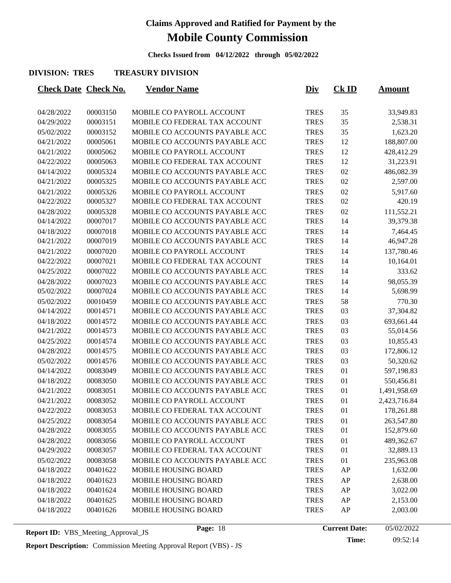**Checks Issued from 04/12/2022 through 05/02/2022**

#### **DIVISION: TRES TREASURY DIVISION**

| <b>Check Date Check No.</b> |          | <b>Vendor Name</b>             | <u>Div</u>  | <b>Ck ID</b> | <u>Amount</u> |
|-----------------------------|----------|--------------------------------|-------------|--------------|---------------|
|                             |          |                                |             |              |               |
| 04/28/2022                  | 00003150 | MOBILE CO PAYROLL ACCOUNT      | <b>TRES</b> | 35           | 33,949.83     |
| 04/29/2022                  | 00003151 | MOBILE CO FEDERAL TAX ACCOUNT  | <b>TRES</b> | 35           | 2,538.31      |
| 05/02/2022                  | 00003152 | MOBILE CO ACCOUNTS PAYABLE ACC | <b>TRES</b> | 35           | 1,623.20      |
| 04/21/2022                  | 00005061 | MOBILE CO ACCOUNTS PAYABLE ACC | <b>TRES</b> | 12           | 188,807.00    |
| 04/21/2022                  | 00005062 | MOBILE CO PAYROLL ACCOUNT      | <b>TRES</b> | 12           | 428,412.29    |
| 04/22/2022                  | 00005063 | MOBILE CO FEDERAL TAX ACCOUNT  | <b>TRES</b> | 12           | 31,223.91     |
| 04/14/2022                  | 00005324 | MOBILE CO ACCOUNTS PAYABLE ACC | <b>TRES</b> | 02           | 486,082.39    |
| 04/21/2022                  | 00005325 | MOBILE CO ACCOUNTS PAYABLE ACC | <b>TRES</b> | 02           | 2,597.00      |
| 04/21/2022                  | 00005326 | MOBILE CO PAYROLL ACCOUNT      | <b>TRES</b> | 02           | 5,917.60      |
| 04/22/2022                  | 00005327 | MOBILE CO FEDERAL TAX ACCOUNT  | <b>TRES</b> | 02           | 420.19        |
| 04/28/2022                  | 00005328 | MOBILE CO ACCOUNTS PAYABLE ACC | <b>TRES</b> | 02           | 111,552.21    |
| 04/14/2022                  | 00007017 | MOBILE CO ACCOUNTS PAYABLE ACC | <b>TRES</b> | 14           | 39,379.38     |
| 04/18/2022                  | 00007018 | MOBILE CO ACCOUNTS PAYABLE ACC | <b>TRES</b> | 14           | 7,464.45      |
| 04/21/2022                  | 00007019 | MOBILE CO ACCOUNTS PAYABLE ACC | <b>TRES</b> | 14           | 46,947.28     |
| 04/21/2022                  | 00007020 | MOBILE CO PAYROLL ACCOUNT      | <b>TRES</b> | 14           | 137,780.46    |
| 04/22/2022                  | 00007021 | MOBILE CO FEDERAL TAX ACCOUNT  | <b>TRES</b> | 14           | 10,164.01     |
| 04/25/2022                  | 00007022 | MOBILE CO ACCOUNTS PAYABLE ACC | <b>TRES</b> | 14           | 333.62        |
| 04/28/2022                  | 00007023 | MOBILE CO ACCOUNTS PAYABLE ACC | <b>TRES</b> | 14           | 98,055.39     |
| 05/02/2022                  | 00007024 | MOBILE CO ACCOUNTS PAYABLE ACC | <b>TRES</b> | 14           | 5,698.99      |
| 05/02/2022                  | 00010459 | MOBILE CO ACCOUNTS PAYABLE ACC | <b>TRES</b> | 58           | 770.30        |
| 04/14/2022                  | 00014571 | MOBILE CO ACCOUNTS PAYABLE ACC | <b>TRES</b> | 03           | 37,304.82     |
| 04/18/2022                  | 00014572 | MOBILE CO ACCOUNTS PAYABLE ACC | <b>TRES</b> | 03           | 693,661.44    |
| 04/21/2022                  | 00014573 | MOBILE CO ACCOUNTS PAYABLE ACC | <b>TRES</b> | 03           | 55,014.56     |
| 04/25/2022                  | 00014574 | MOBILE CO ACCOUNTS PAYABLE ACC | <b>TRES</b> | 03           | 10,855.43     |
| 04/28/2022                  | 00014575 | MOBILE CO ACCOUNTS PAYABLE ACC | <b>TRES</b> | 03           | 172,806.12    |
| 05/02/2022                  | 00014576 | MOBILE CO ACCOUNTS PAYABLE ACC | <b>TRES</b> | 03           | 50,320.62     |
| 04/14/2022                  | 00083049 | MOBILE CO ACCOUNTS PAYABLE ACC | <b>TRES</b> | 01           | 597,198.83    |
| 04/18/2022                  | 00083050 | MOBILE CO ACCOUNTS PAYABLE ACC | <b>TRES</b> | 01           | 550,456.81    |
| 04/21/2022                  | 00083051 | MOBILE CO ACCOUNTS PAYABLE ACC | <b>TRES</b> | 01           | 1,491,958.69  |
| 04/21/2022                  | 00083052 | MOBILE CO PAYROLL ACCOUNT      | <b>TRES</b> | 01           | 2,423,716.84  |
| 04/22/2022                  | 00083053 | MOBILE CO FEDERAL TAX ACCOUNT  | <b>TRES</b> | 01           | 178,261.88    |
| 04/25/2022                  | 00083054 | MOBILE CO ACCOUNTS PAYABLE ACC | <b>TRES</b> | 01           | 263,547.80    |
| 04/28/2022                  | 00083055 | MOBILE CO ACCOUNTS PAYABLE ACC | <b>TRES</b> | 01           | 152,879.60    |
| 04/28/2022                  | 00083056 | MOBILE CO PAYROLL ACCOUNT      | <b>TRES</b> | 01           | 489,362.67    |
| 04/29/2022                  | 00083057 | MOBILE CO FEDERAL TAX ACCOUNT  | <b>TRES</b> | 01           | 32,889.13     |
| 05/02/2022                  | 00083058 | MOBILE CO ACCOUNTS PAYABLE ACC | <b>TRES</b> | 01           | 235,963.08    |
| 04/18/2022                  | 00401622 | MOBILE HOUSING BOARD           | <b>TRES</b> | AP           | 1,632.00      |
| 04/18/2022                  | 00401623 | MOBILE HOUSING BOARD           | <b>TRES</b> | AP           | 2,638.00      |
| 04/18/2022                  | 00401624 | MOBILE HOUSING BOARD           | <b>TRES</b> | AP           | 3,022.00      |
| 04/18/2022                  | 00401625 | MOBILE HOUSING BOARD           | <b>TRES</b> | AP           | 2,153.00      |
| 04/18/2022                  | 00401626 | MOBILE HOUSING BOARD           | <b>TRES</b> | AP           | 2,003.00      |
|                             |          |                                |             |              |               |

Page: 18 **Current Date:** 05/02/2022

**Time:** 09:52:14